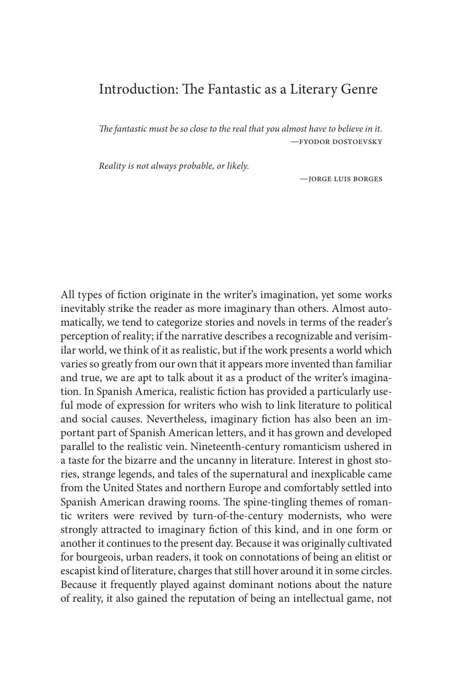# Introduction: The Fantastic as a Literary Genre

*The fantastic must be so close to the real that you almost have to believe in it.* —fyodor dostoevsky

*Reality is not always probable, or likely.*

—jorge luis borges

All types of fiction originate in the writer's imagination, yet some works inevitably strike the reader as more imaginary than others. Almost automatically, we tend to categorize stories and novels in terms of the reader's perception of reality; if the narrative describes a recognizable and verisimilar world, we think of it as realistic, but if the work presents a world which varies so greatly from our own that it appears more invented than familiar and true, we are apt to talk about it as a product of the writer's imagination. In Spanish America, realistic fiction has provided a particularly useful mode of expression for writers who wish to link literature to political and social causes. Nevertheless, imaginary fiction has also been an important part of Spanish American letters, and it has grown and developed parallel to the realistic vein. Nineteenth-century romanticism ushered in a taste for the bizarre and the uncanny in literature. Interest in ghost stories, strange legends, and tales of the supernatural and inexplicable came from the United States and northern Europe and comfortably settled into Spanish American drawing rooms. The spine-tingling themes of romantic writers were revived by turn-of-the-century modernists, who were strongly attracted to imaginary fiction of this kind, and in one form or another it continues to the present day. Because it was originally cultivated for bourgeois, urban readers, it took on connotations of being an elitist or escapist kind of literature, charges that still hover around it in some circles. Because it frequently played against dominant notions about the nature of reality, it also gained the reputation of being an intellectual game, not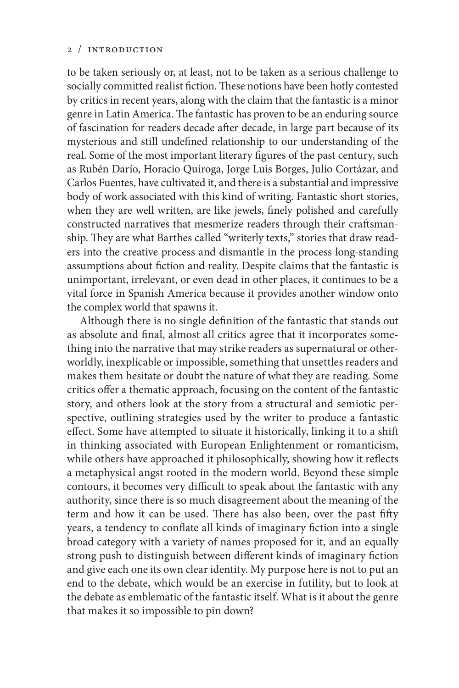to be taken seriously or, at least, not to be taken as a serious challenge to socially committed realist fiction. These notions have been hotly contested by critics in recent years, along with the claim that the fantastic is a minor genre in Latin America. The fantastic has proven to be an enduring source of fascination for readers decade after decade, in large part because of its mysterious and still undefined relationship to our understanding of the real. Some of the most important literary figures of the past century, such as Rubén Darío, Horacio Quiroga, Jorge Luis Borges, Julio Cortázar, and Carlos Fuentes, have cultivated it, and there is a substantial and impressive body of work associated with this kind of writing. Fantastic short stories, when they are well written, are like jewels, finely polished and carefully constructed narratives that mesmerize readers through their craftsmanship. They are what Barthes called "writerly texts," stories that draw readers into the creative process and dismantle in the process long-standing assumptions about fiction and reality. Despite claims that the fantastic is unimportant, irrelevant, or even dead in other places, it continues to be a vital force in Spanish America because it provides another window onto the complex world that spawns it.

Although there is no single definition of the fantastic that stands out as absolute and final, almost all critics agree that it incorporates something into the narrative that may strike readers as supernatural or otherworldly, inexplicable or impossible, something that unsettles readers and makes them hesitate or doubt the nature of what they are reading. Some critics offer a thematic approach, focusing on the content of the fantastic story, and others look at the story from a structural and semiotic perspective, outlining strategies used by the writer to produce a fantastic effect. Some have attempted to situate it historically, linking it to a shift in thinking associated with European Enlightenment or romanticism, while others have approached it philosophically, showing how it reflects a metaphysical angst rooted in the modern world. Beyond these simple contours, it becomes very difficult to speak about the fantastic with any authority, since there is so much disagreement about the meaning of the term and how it can be used. There has also been, over the past fifty years, a tendency to conflate all kinds of imaginary fiction into a single broad category with a variety of names proposed for it, and an equally strong push to distinguish between different kinds of imaginary fiction and give each one its own clear identity. My purpose here is not to put an end to the debate, which would be an exercise in futility, but to look at the debate as emblematic of the fantastic itself. What is it about the genre that makes it so impossible to pin down?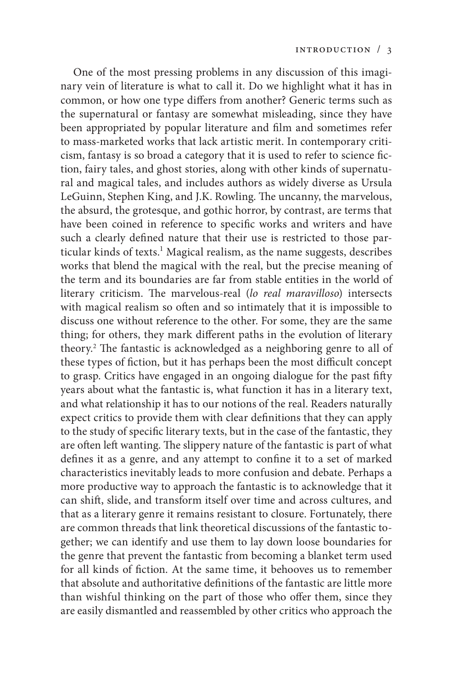One of the most pressing problems in any discussion of this imaginary vein of literature is what to call it. Do we highlight what it has in common, or how one type differs from another? Generic terms such as the supernatural or fantasy are somewhat misleading, since they have been appropriated by popular literature and film and sometimes refer to mass-marketed works that lack artistic merit. In contemporary criticism, fantasy is so broad a category that it is used to refer to science fiction, fairy tales, and ghost stories, along with other kinds of supernatural and magical tales, and includes authors as widely diverse as Ursula LeGuinn, Stephen King, and J.K. Rowling. The uncanny, the marvelous, the absurd, the grotesque, and gothic horror, by contrast, are terms that have been coined in reference to specific works and writers and have such a clearly defined nature that their use is restricted to those particular kinds of texts.<sup>1</sup> Magical realism, as the name suggests, describes works that blend the magical with the real, but the precise meaning of the term and its boundaries are far from stable entities in the world of literary criticism. The marvelous-real (*lo real maravilloso*) intersects with magical realism so often and so intimately that it is impossible to discuss one without reference to the other. For some, they are the same thing; for others, they mark different paths in the evolution of literary theory.2 The fantastic is acknowledged as a neighboring genre to all of these types of fiction, but it has perhaps been the most difficult concept to grasp. Critics have engaged in an ongoing dialogue for the past fifty years about what the fantastic is, what function it has in a literary text, and what relationship it has to our notions of the real. Readers naturally expect critics to provide them with clear definitions that they can apply to the study of specific literary texts, but in the case of the fantastic, they are often left wanting. The slippery nature of the fantastic is part of what defines it as a genre, and any attempt to confine it to a set of marked characteristics inevitably leads to more confusion and debate. Perhaps a more productive way to approach the fantastic is to acknowledge that it can shift, slide, and transform itself over time and across cultures, and that as a literary genre it remains resistant to closure. Fortunately, there are common threads that link theoretical discussions of the fantastic together; we can identify and use them to lay down loose boundaries for the genre that prevent the fantastic from becoming a blanket term used for all kinds of fiction. At the same time, it behooves us to remember that absolute and authoritative definitions of the fantastic are little more than wishful thinking on the part of those who offer them, since they are easily dismantled and reassembled by other critics who approach the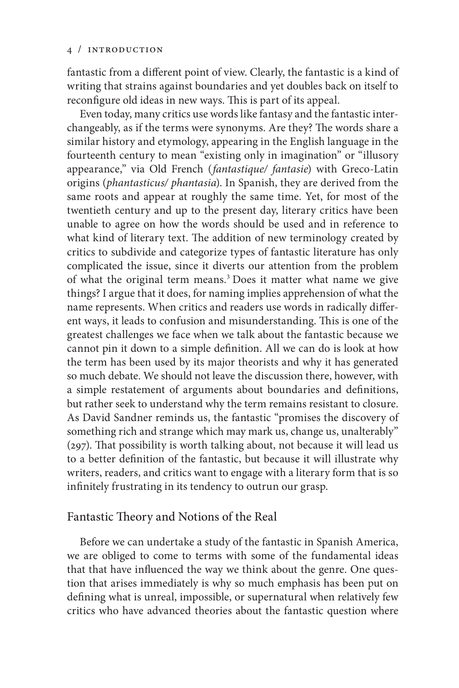fantastic from a different point of view. Clearly, the fantastic is a kind of writing that strains against boundaries and yet doubles back on itself to reconfigure old ideas in new ways. This is part of its appeal.

Even today, many critics use words like fantasy and the fantastic interchangeably, as if the terms were synonyms. Are they? The words share a similar history and etymology, appearing in the English language in the fourteenth century to mean "existing only in imagination" or "illusory appearance," via Old French (*fantastique/ fantasie*) with Greco-Latin origins (*phantasticus/ phantasia*). In Spanish, they are derived from the same roots and appear at roughly the same time. Yet, for most of the twentieth century and up to the present day, literary critics have been unable to agree on how the words should be used and in reference to what kind of literary text. The addition of new terminology created by critics to subdivide and categorize types of fantastic literature has only complicated the issue, since it diverts our attention from the problem of what the original term means.3 Does it matter what name we give things? I argue that it does, for naming implies apprehension of what the name represents. When critics and readers use words in radically different ways, it leads to confusion and misunderstanding. This is one of the greatest challenges we face when we talk about the fantastic because we cannot pin it down to a simple definition. All we can do is look at how the term has been used by its major theorists and why it has generated so much debate. We should not leave the discussion there, however, with a simple restatement of arguments about boundaries and definitions, but rather seek to understand why the term remains resistant to closure. As David Sandner reminds us, the fantastic "promises the discovery of something rich and strange which may mark us, change us, unalterably" (297). That possibility is worth talking about, not because it will lead us to a better definition of the fantastic, but because it will illustrate why writers, readers, and critics want to engage with a literary form that is so infinitely frustrating in its tendency to outrun our grasp.

# Fantastic Theory and Notions of the Real

Before we can undertake a study of the fantastic in Spanish America, we are obliged to come to terms with some of the fundamental ideas that that have influenced the way we think about the genre. One question that arises immediately is why so much emphasis has been put on defining what is unreal, impossible, or supernatural when relatively few critics who have advanced theories about the fantastic question where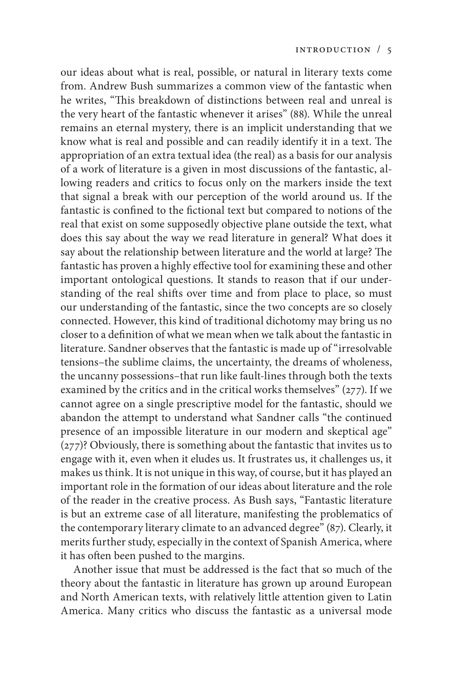our ideas about what is real, possible, or natural in literary texts come from. Andrew Bush summarizes a common view of the fantastic when he writes, "This breakdown of distinctions between real and unreal is the very heart of the fantastic whenever it arises" (88). While the unreal remains an eternal mystery, there is an implicit understanding that we know what is real and possible and can readily identify it in a text. The appropriation of an extra textual idea (the real) as a basis for our analysis of a work of literature is a given in most discussions of the fantastic, allowing readers and critics to focus only on the markers inside the text that signal a break with our perception of the world around us. If the fantastic is confined to the fictional text but compared to notions of the real that exist on some supposedly objective plane outside the text, what does this say about the way we read literature in general? What does it say about the relationship between literature and the world at large? The fantastic has proven a highly effective tool for examining these and other important ontological questions. It stands to reason that if our understanding of the real shifts over time and from place to place, so must our understanding of the fantastic, since the two concepts are so closely connected. However, this kind of traditional dichotomy may bring us no closer to a definition of what we mean when we talk about the fantastic in literature. Sandner observes that the fantastic is made up of "irresolvable tensions–the sublime claims, the uncertainty, the dreams of wholeness, the uncanny possessions–that run like fault-lines through both the texts examined by the critics and in the critical works themselves" (277). If we cannot agree on a single prescriptive model for the fantastic, should we abandon the attempt to understand what Sandner calls "the continued presence of an impossible literature in our modern and skeptical age" (277)? Obviously, there is something about the fantastic that invites us to engage with it, even when it eludes us. It frustrates us, it challenges us, it makes us think. It is not unique in this way, of course, but it has played an important role in the formation of our ideas about literature and the role of the reader in the creative process. As Bush says, "Fantastic literature is but an extreme case of all literature, manifesting the problematics of the contemporary literary climate to an advanced degree" (87). Clearly, it merits further study, especially in the context of Spanish America, where it has often been pushed to the margins.

Another issue that must be addressed is the fact that so much of the theory about the fantastic in literature has grown up around European and North American texts, with relatively little attention given to Latin America. Many critics who discuss the fantastic as a universal mode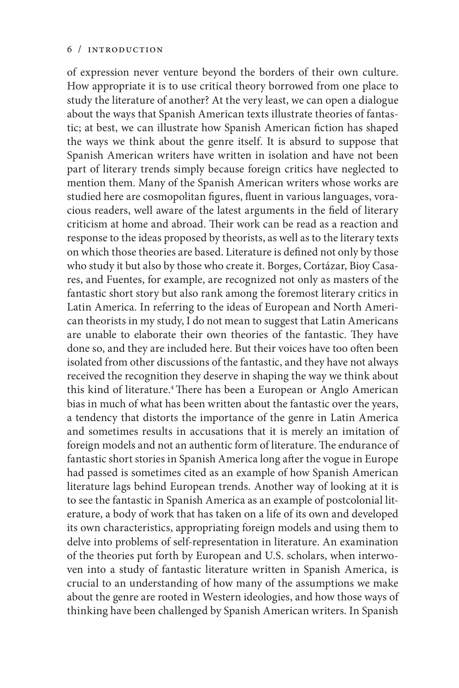of expression never venture beyond the borders of their own culture. How appropriate it is to use critical theory borrowed from one place to study the literature of another? At the very least, we can open a dialogue about the ways that Spanish American texts illustrate theories of fantastic; at best, we can illustrate how Spanish American fiction has shaped the ways we think about the genre itself. It is absurd to suppose that Spanish American writers have written in isolation and have not been part of literary trends simply because foreign critics have neglected to mention them. Many of the Spanish American writers whose works are studied here are cosmopolitan figures, fluent in various languages, voracious readers, well aware of the latest arguments in the field of literary criticism at home and abroad. Their work can be read as a reaction and response to the ideas proposed by theorists, as well as to the literary texts on which those theories are based. Literature is defined not only by those who study it but also by those who create it. Borges, Cortázar, Bioy Casares, and Fuentes, for example, are recognized not only as masters of the fantastic short story but also rank among the foremost literary critics in Latin America. In referring to the ideas of European and North American theorists in my study, I do not mean to suggest that Latin Americans are unable to elaborate their own theories of the fantastic. They have done so, and they are included here. But their voices have too often been isolated from other discussions of the fantastic, and they have not always received the recognition they deserve in shaping the way we think about this kind of literature.4 There has been a European or Anglo American bias in much of what has been written about the fantastic over the years, a tendency that distorts the importance of the genre in Latin America and sometimes results in accusations that it is merely an imitation of foreign models and not an authentic form of literature. The endurance of fantastic short stories in Spanish America long after the vogue in Europe had passed is sometimes cited as an example of how Spanish American literature lags behind European trends. Another way of looking at it is to see the fantastic in Spanish America as an example of postcolonial literature, a body of work that has taken on a life of its own and developed its own characteristics, appropriating foreign models and using them to delve into problems of self-representation in literature. An examination of the theories put forth by European and U.S. scholars, when interwoven into a study of fantastic literature written in Spanish America, is crucial to an understanding of how many of the assumptions we make about the genre are rooted in Western ideologies, and how those ways of thinking have been challenged by Spanish American writers. In Spanish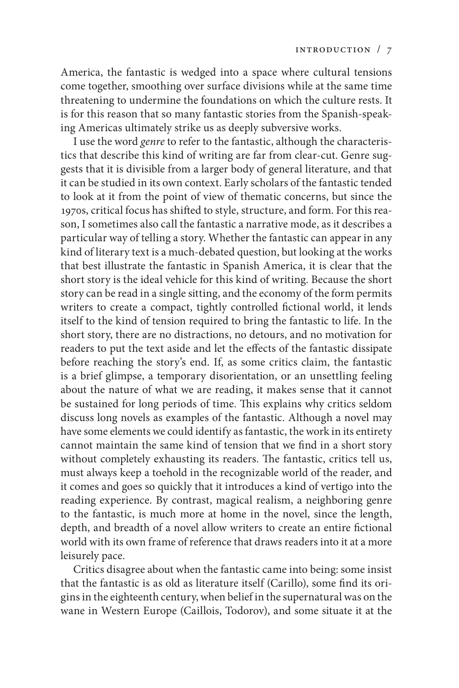America, the fantastic is wedged into a space where cultural tensions come together, smoothing over surface divisions while at the same time threatening to undermine the foundations on which the culture rests. It is for this reason that so many fantastic stories from the Spanish-speaking Americas ultimately strike us as deeply subversive works.

I use the word *genre* to refer to the fantastic, although the characteristics that describe this kind of writing are far from clear-cut. Genre suggests that it is divisible from a larger body of general literature, and that it can be studied in its own context. Early scholars of the fantastic tended to look at it from the point of view of thematic concerns, but since the 1970s, critical focus has shifted to style, structure, and form. For this reason, I sometimes also call the fantastic a narrative mode, as it describes a particular way of telling a story. Whether the fantastic can appear in any kind of literary text is a much-debated question, but looking at the works that best illustrate the fantastic in Spanish America, it is clear that the short story is the ideal vehicle for this kind of writing. Because the short story can be read in a single sitting, and the economy of the form permits writers to create a compact, tightly controlled fictional world, it lends itself to the kind of tension required to bring the fantastic to life. In the short story, there are no distractions, no detours, and no motivation for readers to put the text aside and let the effects of the fantastic dissipate before reaching the story's end. If, as some critics claim, the fantastic is a brief glimpse, a temporary disorientation, or an unsettling feeling about the nature of what we are reading, it makes sense that it cannot be sustained for long periods of time. This explains why critics seldom discuss long novels as examples of the fantastic. Although a novel may have some elements we could identify as fantastic, the work in its entirety cannot maintain the same kind of tension that we find in a short story without completely exhausting its readers. The fantastic, critics tell us, must always keep a toehold in the recognizable world of the reader, and it comes and goes so quickly that it introduces a kind of vertigo into the reading experience. By contrast, magical realism, a neighboring genre to the fantastic, is much more at home in the novel, since the length, depth, and breadth of a novel allow writers to create an entire fictional world with its own frame of reference that draws readers into it at a more leisurely pace.

Critics disagree about when the fantastic came into being: some insist that the fantastic is as old as literature itself (Carillo), some find its origins in the eighteenth century, when belief in the supernatural was on the wane in Western Europe (Caillois, Todorov), and some situate it at the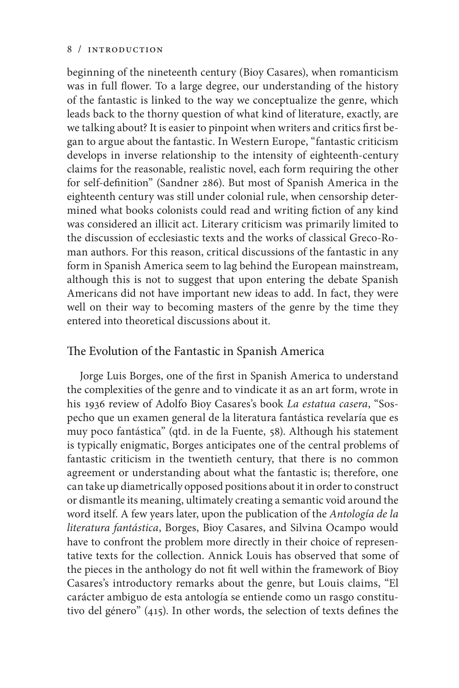beginning of the nineteenth century (Bioy Casares), when romanticism was in full flower. To a large degree, our understanding of the history of the fantastic is linked to the way we conceptualize the genre, which leads back to the thorny question of what kind of literature, exactly, are we talking about? It is easier to pinpoint when writers and critics first began to argue about the fantastic. In Western Europe, "fantastic criticism develops in inverse relationship to the intensity of eighteenth-century claims for the reasonable, realistic novel, each form requiring the other for self-definition" (Sandner 286). But most of Spanish America in the eighteenth century was still under colonial rule, when censorship determined what books colonists could read and writing fiction of any kind was considered an illicit act. Literary criticism was primarily limited to the discussion of ecclesiastic texts and the works of classical Greco-Roman authors. For this reason, critical discussions of the fantastic in any form in Spanish America seem to lag behind the European mainstream, although this is not to suggest that upon entering the debate Spanish Americans did not have important new ideas to add. In fact, they were well on their way to becoming masters of the genre by the time they entered into theoretical discussions about it.

# The Evolution of the Fantastic in Spanish America

Jorge Luis Borges, one of the first in Spanish America to understand the complexities of the genre and to vindicate it as an art form, wrote in his 1936 review of Adolfo Bioy Casares's book *La estatua casera*, "Sospecho que un examen general de la literatura fantástica revelaría que es muy poco fantástica" (qtd. in de la Fuente, 58). Although his statement is typically enigmatic, Borges anticipates one of the central problems of fantastic criticism in the twentieth century, that there is no common agreement or understanding about what the fantastic is; therefore, one can take up diametrically opposed positions about it in order to construct or dismantle its meaning, ultimately creating a semantic void around the word itself. A few years later, upon the publication of the *Antología de la literatura fantástica*, Borges, Bioy Casares, and Silvina Ocampo would have to confront the problem more directly in their choice of representative texts for the collection. Annick Louis has observed that some of the pieces in the anthology do not fit well within the framework of Bioy Casares's introductory remarks about the genre, but Louis claims, "El carácter ambiguo de esta antología se entiende como un rasgo constitutivo del género" (415). In other words, the selection of texts defines the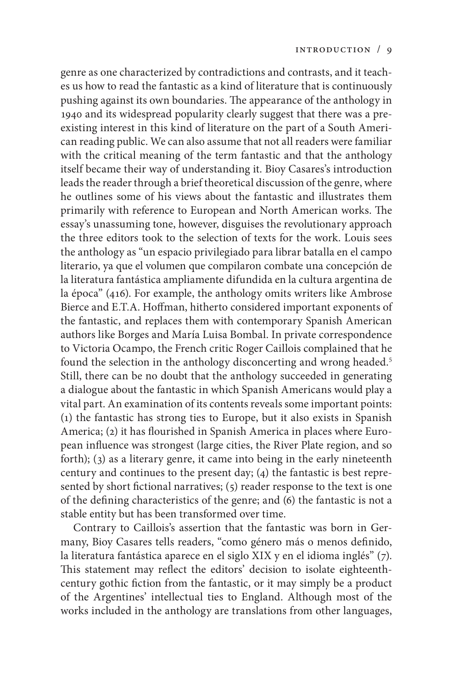genre as one characterized by contradictions and contrasts, and it teaches us how to read the fantastic as a kind of literature that is continuously pushing against its own boundaries. The appearance of the anthology in 1940 and its widespread popularity clearly suggest that there was a preexisting interest in this kind of literature on the part of a South American reading public. We can also assume that not all readers were familiar with the critical meaning of the term fantastic and that the anthology itself became their way of understanding it. Bioy Casares's introduction leads the reader through a brief theoretical discussion of the genre, where he outlines some of his views about the fantastic and illustrates them primarily with reference to European and North American works. The essay's unassuming tone, however, disguises the revolutionary approach the three editors took to the selection of texts for the work. Louis sees the anthology as "un espacio privilegiado para librar batalla en el campo literario, ya que el volumen que compilaron combate una concepción de la literatura fantástica ampliamente difundida en la cultura argentina de la época" (416). For example, the anthology omits writers like Ambrose Bierce and E.T.A. Hoffman, hitherto considered important exponents of the fantastic, and replaces them with contemporary Spanish American authors like Borges and María Luisa Bombal. In private correspondence to Victoria Ocampo, the French critic Roger Caillois complained that he found the selection in the anthology disconcerting and wrong headed.<sup>5</sup> Still, there can be no doubt that the anthology succeeded in generating a dialogue about the fantastic in which Spanish Americans would play a vital part. An examination of its contents reveals some important points: (1) the fantastic has strong ties to Europe, but it also exists in Spanish America; (2) it has flourished in Spanish America in places where European influence was strongest (large cities, the River Plate region, and so forth); (3) as a literary genre, it came into being in the early nineteenth century and continues to the present day; (4) the fantastic is best represented by short fictional narratives; (5) reader response to the text is one of the defining characteristics of the genre; and (6) the fantastic is not a stable entity but has been transformed over time.

Contrary to Caillois's assertion that the fantastic was born in Germany, Bioy Casares tells readers, "como género más o menos definido, la literatura fantástica aparece en el siglo XIX y en el idioma inglés" (7). This statement may reflect the editors' decision to isolate eighteenthcentury gothic fiction from the fantastic, or it may simply be a product of the Argentines' intellectual ties to England. Although most of the works included in the anthology are translations from other languages,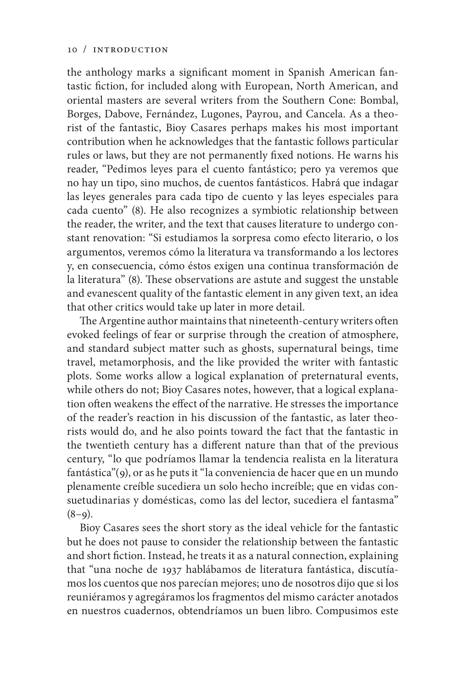the anthology marks a significant moment in Spanish American fantastic fiction, for included along with European, North American, and oriental masters are several writers from the Southern Cone: Bombal, Borges, Dabove, Fernández, Lugones, Payrou, and Cancela. As a theorist of the fantastic, Bioy Casares perhaps makes his most important contribution when he acknowledges that the fantastic follows particular rules or laws, but they are not permanently fixed notions. He warns his reader, "Pedimos leyes para el cuento fantástico; pero ya veremos que no hay un tipo, sino muchos, de cuentos fantásticos. Habrá que indagar las leyes generales para cada tipo de cuento y las leyes especiales para cada cuento" (8). He also recognizes a symbiotic relationship between the reader, the writer, and the text that causes literature to undergo constant renovation: "Si estudiamos la sorpresa como efecto literario, o los argumentos, veremos cómo la literatura va transformando a los lectores y, en consecuencia, cómo éstos exigen una continua transformación de la literatura" (8). These observations are astute and suggest the unstable and evanescent quality of the fantastic element in any given text, an idea that other critics would take up later in more detail.

The Argentine author maintains that nineteenth-century writers often evoked feelings of fear or surprise through the creation of atmosphere, and standard subject matter such as ghosts, supernatural beings, time travel, metamorphosis, and the like provided the writer with fantastic plots. Some works allow a logical explanation of preternatural events, while others do not; Bioy Casares notes, however, that a logical explanation often weakens the effect of the narrative. He stresses the importance of the reader's reaction in his discussion of the fantastic, as later theorists would do, and he also points toward the fact that the fantastic in the twentieth century has a different nature than that of the previous century, "lo que podríamos llamar la tendencia realista en la literatura fantástica"(9), or as he puts it "la conveniencia de hacer que en un mundo plenamente creíble sucediera un solo hecho increíble; que en vidas consuetudinarias y domésticas, como las del lector, sucediera el fantasma"  $(8-9)$ .

Bioy Casares sees the short story as the ideal vehicle for the fantastic but he does not pause to consider the relationship between the fantastic and short fiction. Instead, he treats it as a natural connection, explaining that "una noche de 1937 hablábamos de literatura fantástica, discutíamos los cuentos que nos parecían mejores; uno de nosotros dijo que si los reuniéramos y agregáramos los fragmentos del mismo carácter anotados en nuestros cuadernos, obtendríamos un buen libro. Compusimos este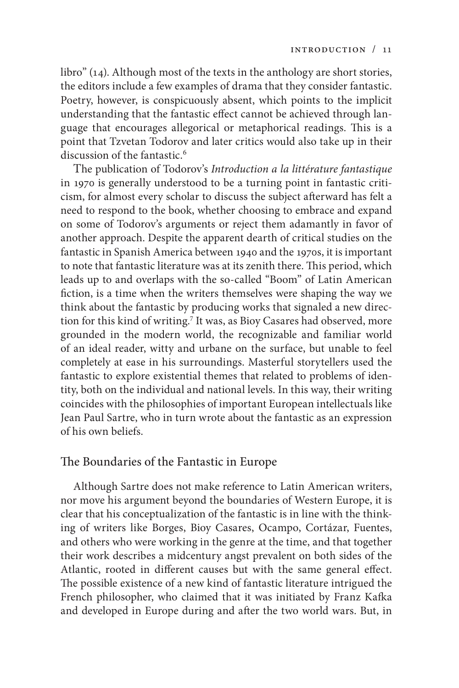libro" (14). Although most of the texts in the anthology are short stories, the editors include a few examples of drama that they consider fantastic. Poetry, however, is conspicuously absent, which points to the implicit understanding that the fantastic effect cannot be achieved through language that encourages allegorical or metaphorical readings. This is a point that Tzvetan Todorov and later critics would also take up in their discussion of the fantastic.<sup>6</sup>

The publication of Todorov's *Introduction a la littérature fantastique* in 1970 is generally understood to be a turning point in fantastic criticism, for almost every scholar to discuss the subject afterward has felt a need to respond to the book, whether choosing to embrace and expand on some of Todorov's arguments or reject them adamantly in favor of another approach. Despite the apparent dearth of critical studies on the fantastic in Spanish America between 1940 and the 1970s, it is important to note that fantastic literature was at its zenith there. This period, which leads up to and overlaps with the so-called "Boom" of Latin American fiction, is a time when the writers themselves were shaping the way we think about the fantastic by producing works that signaled a new direction for this kind of writing.7 It was, as Bioy Casares had observed, more grounded in the modern world, the recognizable and familiar world of an ideal reader, witty and urbane on the surface, but unable to feel completely at ease in his surroundings. Masterful storytellers used the fantastic to explore existential themes that related to problems of identity, both on the individual and national levels. In this way, their writing coincides with the philosophies of important European intellectuals like Jean Paul Sartre, who in turn wrote about the fantastic as an expression of his own beliefs.

## The Boundaries of the Fantastic in Europe

Although Sartre does not make reference to Latin American writers, nor move his argument beyond the boundaries of Western Europe, it is clear that his conceptualization of the fantastic is in line with the thinking of writers like Borges, Bioy Casares, Ocampo, Cortázar, Fuentes, and others who were working in the genre at the time, and that together their work describes a midcentury angst prevalent on both sides of the Atlantic, rooted in different causes but with the same general effect. The possible existence of a new kind of fantastic literature intrigued the French philosopher, who claimed that it was initiated by Franz Kafka and developed in Europe during and after the two world wars. But, in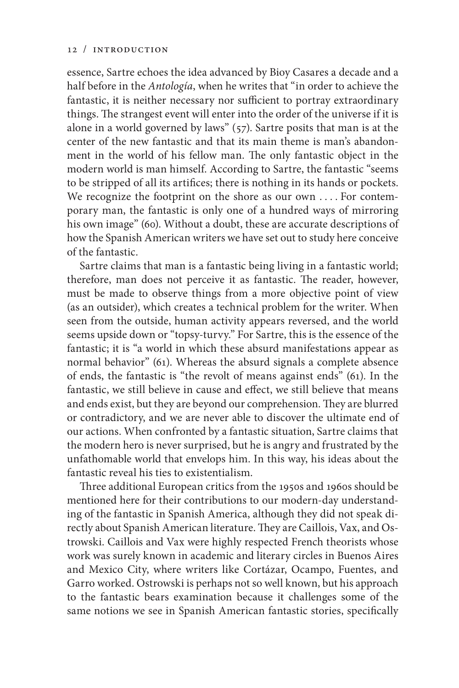essence, Sartre echoes the idea advanced by Bioy Casares a decade and a half before in the *Antología*, when he writes that "in order to achieve the fantastic, it is neither necessary nor sufficient to portray extraordinary things. The strangest event will enter into the order of the universe if it is alone in a world governed by laws" (57). Sartre posits that man is at the center of the new fantastic and that its main theme is man's abandonment in the world of his fellow man. The only fantastic object in the modern world is man himself. According to Sartre, the fantastic "seems to be stripped of all its artifices; there is nothing in its hands or pockets. We recognize the footprint on the shore as our own .... For contemporary man, the fantastic is only one of a hundred ways of mirroring his own image" (60). Without a doubt, these are accurate descriptions of how the Spanish American writers we have set out to study here conceive of the fantastic.

Sartre claims that man is a fantastic being living in a fantastic world; therefore, man does not perceive it as fantastic. The reader, however, must be made to observe things from a more objective point of view (as an outsider), which creates a technical problem for the writer. When seen from the outside, human activity appears reversed, and the world seems upside down or "topsy-turvy." For Sartre, this is the essence of the fantastic; it is "a world in which these absurd manifestations appear as normal behavior" (61). Whereas the absurd signals a complete absence of ends, the fantastic is "the revolt of means against ends" (61). In the fantastic, we still believe in cause and effect, we still believe that means and ends exist, but they are beyond our comprehension. They are blurred or contradictory, and we are never able to discover the ultimate end of our actions. When confronted by a fantastic situation, Sartre claims that the modern hero is never surprised, but he is angry and frustrated by the unfathomable world that envelops him. In this way, his ideas about the fantastic reveal his ties to existentialism.

Three additional European critics from the 1950s and 1960s should be mentioned here for their contributions to our modern-day understanding of the fantastic in Spanish America, although they did not speak directly about Spanish American literature. They are Caillois, Vax, and Ostrowski. Caillois and Vax were highly respected French theorists whose work was surely known in academic and literary circles in Buenos Aires and Mexico City, where writers like Cortázar, Ocampo, Fuentes, and Garro worked. Ostrowski is perhaps not so well known, but his approach to the fantastic bears examination because it challenges some of the same notions we see in Spanish American fantastic stories, specifically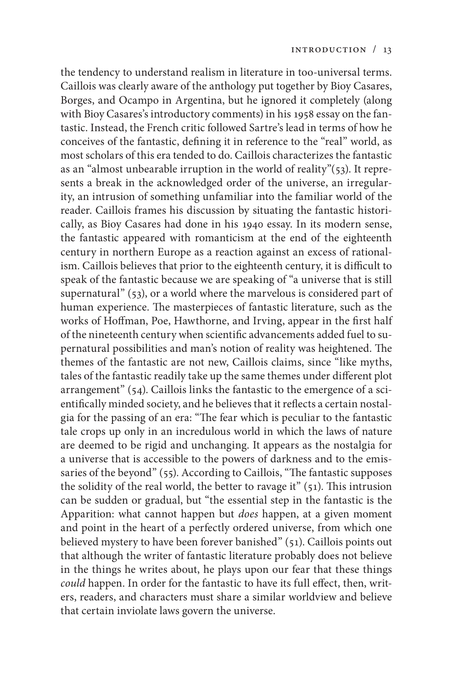the tendency to understand realism in literature in too-universal terms. Caillois was clearly aware of the anthology put together by Bioy Casares, Borges, and Ocampo in Argentina, but he ignored it completely (along with Bioy Casares's introductory comments) in his 1958 essay on the fantastic. Instead, the French critic followed Sartre's lead in terms of how he conceives of the fantastic, defining it in reference to the "real" world, as most scholars of this era tended to do. Caillois characterizes the fantastic as an "almost unbearable irruption in the world of reality"(53). It represents a break in the acknowledged order of the universe, an irregularity, an intrusion of something unfamiliar into the familiar world of the reader. Caillois frames his discussion by situating the fantastic historically, as Bioy Casares had done in his 1940 essay. In its modern sense, the fantastic appeared with romanticism at the end of the eighteenth century in northern Europe as a reaction against an excess of rationalism. Caillois believes that prior to the eighteenth century, it is difficult to speak of the fantastic because we are speaking of "a universe that is still supernatural" (53), or a world where the marvelous is considered part of human experience. The masterpieces of fantastic literature, such as the works of Hoffman, Poe, Hawthorne, and Irving, appear in the first half of the nineteenth century when scientific advancements added fuel to supernatural possibilities and man's notion of reality was heightened. The themes of the fantastic are not new, Caillois claims, since "like myths, tales of the fantastic readily take up the same themes under different plot arrangement" (54). Caillois links the fantastic to the emergence of a scientifically minded society, and he believes that it reflects a certain nostalgia for the passing of an era: "The fear which is peculiar to the fantastic tale crops up only in an incredulous world in which the laws of nature are deemed to be rigid and unchanging. It appears as the nostalgia for a universe that is accessible to the powers of darkness and to the emissaries of the beyond" (55). According to Caillois, "The fantastic supposes the solidity of the real world, the better to ravage it" (51). This intrusion can be sudden or gradual, but "the essential step in the fantastic is the Apparition: what cannot happen but *does* happen, at a given moment and point in the heart of a perfectly ordered universe, from which one believed mystery to have been forever banished" (51). Caillois points out that although the writer of fantastic literature probably does not believe in the things he writes about, he plays upon our fear that these things *could* happen. In order for the fantastic to have its full effect, then, writers, readers, and characters must share a similar worldview and believe that certain inviolate laws govern the universe.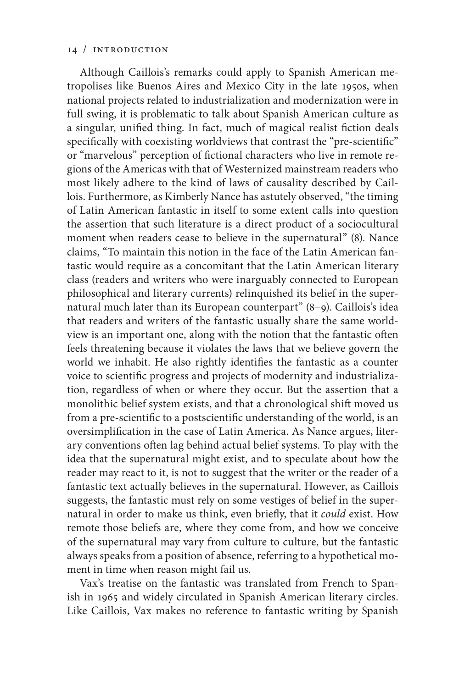Although Caillois's remarks could apply to Spanish American metropolises like Buenos Aires and Mexico City in the late 1950s, when national projects related to industrialization and modernization were in full swing, it is problematic to talk about Spanish American culture as a singular, unified thing. In fact, much of magical realist fiction deals specifically with coexisting worldviews that contrast the "pre-scientific" or "marvelous" perception of fictional characters who live in remote regions of the Americas with that of Westernized mainstream readers who most likely adhere to the kind of laws of causality described by Caillois. Furthermore, as Kimberly Nance has astutely observed, "the timing of Latin American fantastic in itself to some extent calls into question the assertion that such literature is a direct product of a sociocultural moment when readers cease to believe in the supernatural" (8). Nance claims, "To maintain this notion in the face of the Latin American fantastic would require as a concomitant that the Latin American literary class (readers and writers who were inarguably connected to European philosophical and literary currents) relinquished its belief in the supernatural much later than its European counterpart" (8–9). Caillois's idea that readers and writers of the fantastic usually share the same worldview is an important one, along with the notion that the fantastic often feels threatening because it violates the laws that we believe govern the world we inhabit. He also rightly identifies the fantastic as a counter voice to scientific progress and projects of modernity and industrialization, regardless of when or where they occur. But the assertion that a monolithic belief system exists, and that a chronological shift moved us from a pre-scientific to a postscientific understanding of the world, is an oversimplification in the case of Latin America. As Nance argues, literary conventions often lag behind actual belief systems. To play with the idea that the supernatural might exist, and to speculate about how the reader may react to it, is not to suggest that the writer or the reader of a fantastic text actually believes in the supernatural. However, as Caillois suggests, the fantastic must rely on some vestiges of belief in the supernatural in order to make us think, even briefly, that it *could* exist. How remote those beliefs are, where they come from, and how we conceive of the supernatural may vary from culture to culture, but the fantastic always speaks from a position of absence, referring to a hypothetical moment in time when reason might fail us.

Vax's treatise on the fantastic was translated from French to Spanish in 1965 and widely circulated in Spanish American literary circles. Like Caillois, Vax makes no reference to fantastic writing by Spanish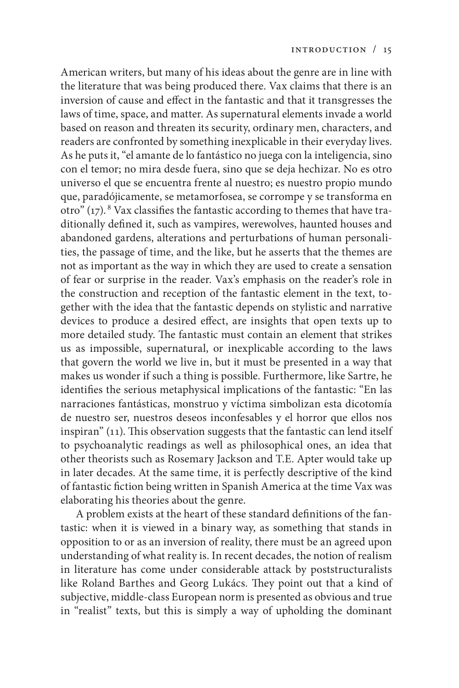American writers, but many of his ideas about the genre are in line with the literature that was being produced there. Vax claims that there is an inversion of cause and effect in the fantastic and that it transgresses the laws of time, space, and matter. As supernatural elements invade a world based on reason and threaten its security, ordinary men, characters, and readers are confronted by something inexplicable in their everyday lives. As he puts it, "el amante de lo fantástico no juega con la inteligencia, sino con el temor; no mira desde fuera, sino que se deja hechizar. No es otro universo el que se encuentra frente al nuestro; es nuestro propio mundo que, paradójicamente, se metamorfosea, se corrompe y se transforma en otro"  $(17)$ . <sup>8</sup> Vax classifies the fantastic according to themes that have traditionally defined it, such as vampires, werewolves, haunted houses and abandoned gardens, alterations and perturbations of human personalities, the passage of time, and the like, but he asserts that the themes are not as important as the way in which they are used to create a sensation of fear or surprise in the reader. Vax's emphasis on the reader's role in the construction and reception of the fantastic element in the text, together with the idea that the fantastic depends on stylistic and narrative devices to produce a desired effect, are insights that open texts up to more detailed study. The fantastic must contain an element that strikes us as impossible, supernatural, or inexplicable according to the laws that govern the world we live in, but it must be presented in a way that makes us wonder if such a thing is possible. Furthermore, like Sartre, he identifies the serious metaphysical implications of the fantastic: "En las narraciones fantásticas, monstruo y víctima simbolizan esta dicotomía de nuestro ser, nuestros deseos inconfesables y el horror que ellos nos inspiran" (11). This observation suggests that the fantastic can lend itself to psychoanalytic readings as well as philosophical ones, an idea that other theorists such as Rosemary Jackson and T.E. Apter would take up in later decades. At the same time, it is perfectly descriptive of the kind of fantastic fiction being written in Spanish America at the time Vax was elaborating his theories about the genre.

 A problem exists at the heart of these standard definitions of the fantastic: when it is viewed in a binary way, as something that stands in opposition to or as an inversion of reality, there must be an agreed upon understanding of what reality is. In recent decades, the notion of realism in literature has come under considerable attack by poststructuralists like Roland Barthes and Georg Lukács. They point out that a kind of subjective, middle-class European norm is presented as obvious and true in "realist" texts, but this is simply a way of upholding the dominant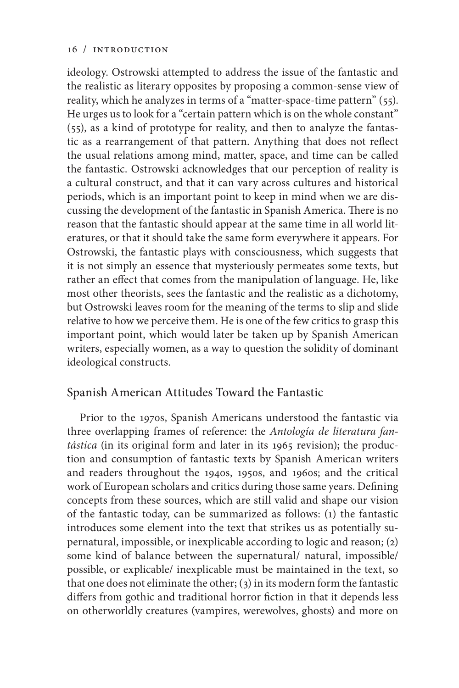ideology. Ostrowski attempted to address the issue of the fantastic and the realistic as literary opposites by proposing a common-sense view of reality, which he analyzes in terms of a "matter-space-time pattern" (55). He urges us to look for a "certain pattern which is on the whole constant" (55), as a kind of prototype for reality, and then to analyze the fantastic as a rearrangement of that pattern. Anything that does not reflect the usual relations among mind, matter, space, and time can be called the fantastic. Ostrowski acknowledges that our perception of reality is a cultural construct, and that it can vary across cultures and historical periods, which is an important point to keep in mind when we are discussing the development of the fantastic in Spanish America. There is no reason that the fantastic should appear at the same time in all world literatures, or that it should take the same form everywhere it appears. For Ostrowski, the fantastic plays with consciousness, which suggests that it is not simply an essence that mysteriously permeates some texts, but rather an effect that comes from the manipulation of language. He, like most other theorists, sees the fantastic and the realistic as a dichotomy, but Ostrowski leaves room for the meaning of the terms to slip and slide relative to how we perceive them. He is one of the few critics to grasp this important point, which would later be taken up by Spanish American writers, especially women, as a way to question the solidity of dominant ideological constructs.

## Spanish American Attitudes Toward the Fantastic

Prior to the 1970s, Spanish Americans understood the fantastic via three overlapping frames of reference: the *Antología de literatura fantástica* (in its original form and later in its 1965 revision); the production and consumption of fantastic texts by Spanish American writers and readers throughout the 1940s, 1950s, and 1960s; and the critical work of European scholars and critics during those same years. Defining concepts from these sources, which are still valid and shape our vision of the fantastic today, can be summarized as follows: (1) the fantastic introduces some element into the text that strikes us as potentially supernatural, impossible, or inexplicable according to logic and reason; (2) some kind of balance between the supernatural/ natural, impossible/ possible, or explicable/ inexplicable must be maintained in the text, so that one does not eliminate the other; (3) in its modern form the fantastic differs from gothic and traditional horror fiction in that it depends less on otherworldly creatures (vampires, werewolves, ghosts) and more on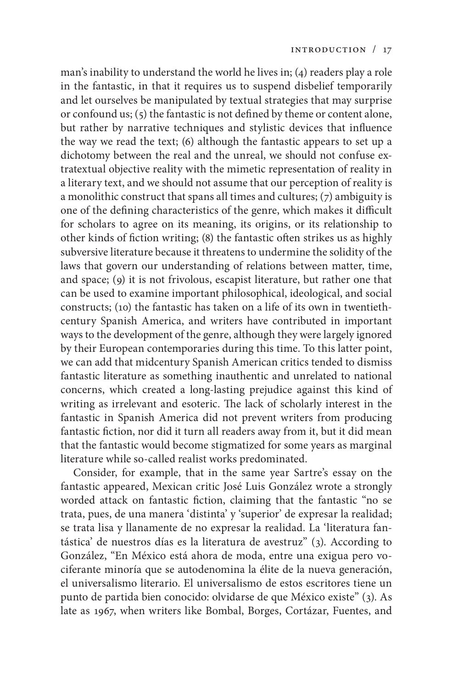man's inability to understand the world he lives in; (4) readers play a role in the fantastic, in that it requires us to suspend disbelief temporarily and let ourselves be manipulated by textual strategies that may surprise or confound us; (5) the fantastic is not defined by theme or content alone, but rather by narrative techniques and stylistic devices that influence the way we read the text; (6) although the fantastic appears to set up a dichotomy between the real and the unreal, we should not confuse extratextual objective reality with the mimetic representation of reality in a literary text, and we should not assume that our perception of reality is a monolithic construct that spans all times and cultures; (7) ambiguity is one of the defining characteristics of the genre, which makes it difficult for scholars to agree on its meaning, its origins, or its relationship to other kinds of fiction writing; (8) the fantastic often strikes us as highly subversive literature because it threatens to undermine the solidity of the laws that govern our understanding of relations between matter, time, and space; (9) it is not frivolous, escapist literature, but rather one that can be used to examine important philosophical, ideological, and social constructs; (10) the fantastic has taken on a life of its own in twentiethcentury Spanish America, and writers have contributed in important ways to the development of the genre, although they were largely ignored by their European contemporaries during this time. To this latter point, we can add that midcentury Spanish American critics tended to dismiss fantastic literature as something inauthentic and unrelated to national concerns, which created a long-lasting prejudice against this kind of writing as irrelevant and esoteric. The lack of scholarly interest in the fantastic in Spanish America did not prevent writers from producing fantastic fiction, nor did it turn all readers away from it, but it did mean that the fantastic would become stigmatized for some years as marginal literature while so-called realist works predominated.

Consider, for example, that in the same year Sartre's essay on the fantastic appeared, Mexican critic José Luis González wrote a strongly worded attack on fantastic fiction, claiming that the fantastic "no se trata, pues, de una manera 'distinta' y 'superior' de expresar la realidad; se trata lisa y llanamente de no expresar la realidad. La 'literatura fantástica' de nuestros días es la literatura de avestruz" (3). According to González, "En México está ahora de moda, entre una exigua pero vociferante minoría que se autodenomina la élite de la nueva generación, el universalismo literario. El universalismo de estos escritores tiene un punto de partida bien conocido: olvidarse de que México existe" (3). As late as 1967, when writers like Bombal, Borges, Cortázar, Fuentes, and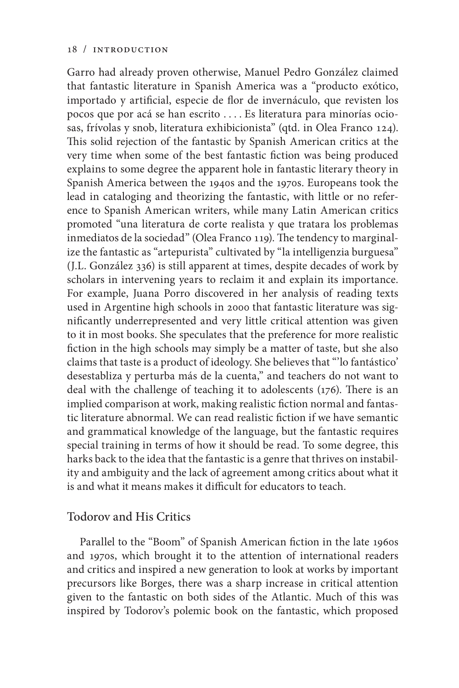Garro had already proven otherwise, Manuel Pedro González claimed that fantastic literature in Spanish America was a "producto exótico, importado y artificial, especie de flor de invernáculo, que revisten los pocos que por acá se han escrito . . . . Es literatura para minorías ociosas, frívolas y snob, literatura exhibicionista" (qtd. in Olea Franco 124). This solid rejection of the fantastic by Spanish American critics at the very time when some of the best fantastic fiction was being produced explains to some degree the apparent hole in fantastic literary theory in Spanish America between the 1940s and the 1970s. Europeans took the lead in cataloging and theorizing the fantastic, with little or no reference to Spanish American writers, while many Latin American critics promoted "una literatura de corte realista y que tratara los problemas inmediatos de la sociedad" (Olea Franco 119). The tendency to marginalize the fantastic as "artepurista" cultivated by "la intelligenzia burguesa" (J.L. González 336) is still apparent at times, despite decades of work by scholars in intervening years to reclaim it and explain its importance. For example, Juana Porro discovered in her analysis of reading texts used in Argentine high schools in 2000 that fantastic literature was significantly underrepresented and very little critical attention was given to it in most books. She speculates that the preference for more realistic fiction in the high schools may simply be a matter of taste, but she also claims that taste is a product of ideology. She believes that "'lo fantástico' desestabliza y perturba más de la cuenta," and teachers do not want to deal with the challenge of teaching it to adolescents (176). There is an implied comparison at work, making realistic fiction normal and fantastic literature abnormal. We can read realistic fiction if we have semantic and grammatical knowledge of the language, but the fantastic requires special training in terms of how it should be read. To some degree, this harks back to the idea that the fantastic is a genre that thrives on instability and ambiguity and the lack of agreement among critics about what it is and what it means makes it difficult for educators to teach.

## Todorov and His Critics

Parallel to the "Boom" of Spanish American fiction in the late 1960s and 1970s, which brought it to the attention of international readers and critics and inspired a new generation to look at works by important precursors like Borges, there was a sharp increase in critical attention given to the fantastic on both sides of the Atlantic. Much of this was inspired by Todorov's polemic book on the fantastic, which proposed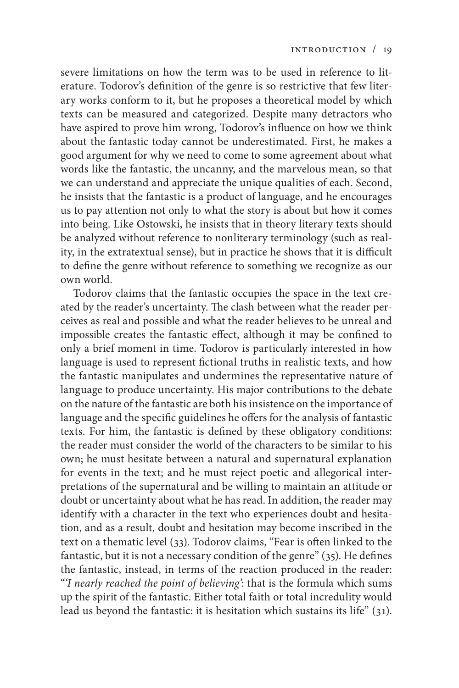severe limitations on how the term was to be used in reference to literature. Todorov's definition of the genre is so restrictive that few literary works conform to it, but he proposes a theoretical model by which texts can be measured and categorized. Despite many detractors who have aspired to prove him wrong, Todorov's influence on how we think about the fantastic today cannot be underestimated. First, he makes a good argument for why we need to come to some agreement about what words like the fantastic, the uncanny, and the marvelous mean, so that we can understand and appreciate the unique qualities of each. Second, he insists that the fantastic is a product of language, and he encourages us to pay attention not only to what the story is about but how it comes into being. Like Ostowski, he insists that in theory literary texts should be analyzed without reference to nonliterary terminology (such as reality, in the extratextual sense), but in practice he shows that it is difficult to define the genre without reference to something we recognize as our own world.

Todorov claims that the fantastic occupies the space in the text created by the reader's uncertainty. The clash between what the reader perceives as real and possible and what the reader believes to be unreal and impossible creates the fantastic effect, although it may be confined to only a brief moment in time. Todorov is particularly interested in how language is used to represent fictional truths in realistic texts, and how the fantastic manipulates and undermines the representative nature of language to produce uncertainty. His major contributions to the debate on the nature of the fantastic are both his insistence on the importance of language and the specific guidelines he offers for the analysis of fantastic texts. For him, the fantastic is defined by these obligatory conditions: the reader must consider the world of the characters to be similar to his own; he must hesitate between a natural and supernatural explanation for events in the text; and he must reject poetic and allegorical interpretations of the supernatural and be willing to maintain an attitude or doubt or uncertainty about what he has read. In addition, the reader may identify with a character in the text who experiences doubt and hesitation, and as a result, doubt and hesitation may become inscribed in the text on a thematic level (33). Todorov claims, "Fear is often linked to the fantastic, but it is not a necessary condition of the genre" (35). He defines the fantastic, instead, in terms of the reaction produced in the reader: "*'I nearly reached the point of believing'*: that is the formula which sums up the spirit of the fantastic. Either total faith or total incredulity would lead us beyond the fantastic: it is hesitation which sustains its life" (31).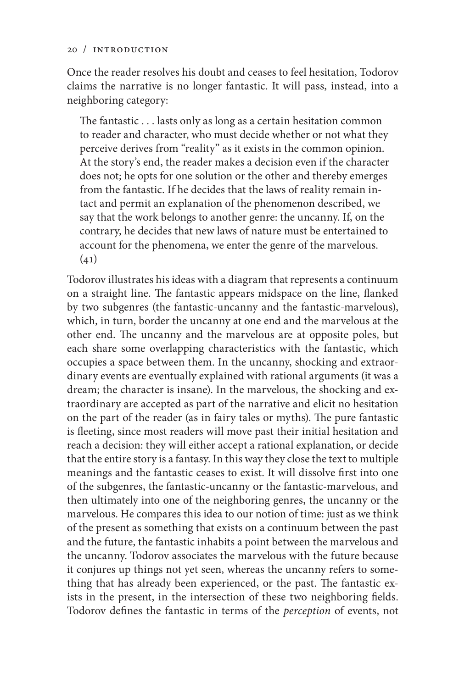Once the reader resolves his doubt and ceases to feel hesitation, Todorov claims the narrative is no longer fantastic. It will pass, instead, into a neighboring category:

The fantastic . . . lasts only as long as a certain hesitation common to reader and character, who must decide whether or not what they perceive derives from "reality" as it exists in the common opinion. At the story's end, the reader makes a decision even if the character does not; he opts for one solution or the other and thereby emerges from the fantastic. If he decides that the laws of reality remain intact and permit an explanation of the phenomenon described, we say that the work belongs to another genre: the uncanny. If, on the contrary, he decides that new laws of nature must be entertained to account for the phenomena, we enter the genre of the marvelous.  $(41)$ 

Todorov illustrates his ideas with a diagram that represents a continuum on a straight line. The fantastic appears midspace on the line, flanked by two subgenres (the fantastic-uncanny and the fantastic-marvelous), which, in turn, border the uncanny at one end and the marvelous at the other end. The uncanny and the marvelous are at opposite poles, but each share some overlapping characteristics with the fantastic, which occupies a space between them. In the uncanny, shocking and extraordinary events are eventually explained with rational arguments (it was a dream; the character is insane). In the marvelous, the shocking and extraordinary are accepted as part of the narrative and elicit no hesitation on the part of the reader (as in fairy tales or myths). The pure fantastic is fleeting, since most readers will move past their initial hesitation and reach a decision: they will either accept a rational explanation, or decide that the entire story is a fantasy. In this way they close the text to multiple meanings and the fantastic ceases to exist. It will dissolve first into one of the subgenres, the fantastic-uncanny or the fantastic-marvelous, and then ultimately into one of the neighboring genres, the uncanny or the marvelous. He compares this idea to our notion of time: just as we think of the present as something that exists on a continuum between the past and the future, the fantastic inhabits a point between the marvelous and the uncanny. Todorov associates the marvelous with the future because it conjures up things not yet seen, whereas the uncanny refers to something that has already been experienced, or the past. The fantastic exists in the present, in the intersection of these two neighboring fields. Todorov defines the fantastic in terms of the *perception* of events, not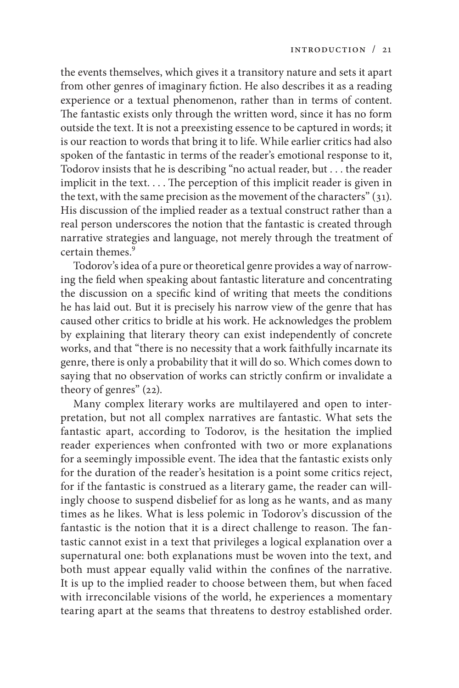the events themselves, which gives it a transitory nature and sets it apart from other genres of imaginary fiction. He also describes it as a reading experience or a textual phenomenon, rather than in terms of content. The fantastic exists only through the written word, since it has no form outside the text. It is not a preexisting essence to be captured in words; it is our reaction to words that bring it to life. While earlier critics had also spoken of the fantastic in terms of the reader's emotional response to it, Todorov insists that he is describing "no actual reader, but . . . the reader implicit in the text. . . . The perception of this implicit reader is given in the text, with the same precision as the movement of the characters" (31). His discussion of the implied reader as a textual construct rather than a real person underscores the notion that the fantastic is created through narrative strategies and language, not merely through the treatment of certain themes.<sup>9</sup>

Todorov's idea of a pure or theoretical genre provides a way of narrowing the field when speaking about fantastic literature and concentrating the discussion on a specific kind of writing that meets the conditions he has laid out. But it is precisely his narrow view of the genre that has caused other critics to bridle at his work. He acknowledges the problem by explaining that literary theory can exist independently of concrete works, and that "there is no necessity that a work faithfully incarnate its genre, there is only a probability that it will do so. Which comes down to saying that no observation of works can strictly confirm or invalidate a theory of genres" (22).

Many complex literary works are multilayered and open to interpretation, but not all complex narratives are fantastic. What sets the fantastic apart, according to Todorov, is the hesitation the implied reader experiences when confronted with two or more explanations for a seemingly impossible event. The idea that the fantastic exists only for the duration of the reader's hesitation is a point some critics reject, for if the fantastic is construed as a literary game, the reader can willingly choose to suspend disbelief for as long as he wants, and as many times as he likes. What is less polemic in Todorov's discussion of the fantastic is the notion that it is a direct challenge to reason. The fantastic cannot exist in a text that privileges a logical explanation over a supernatural one: both explanations must be woven into the text, and both must appear equally valid within the confines of the narrative. It is up to the implied reader to choose between them, but when faced with irreconcilable visions of the world, he experiences a momentary tearing apart at the seams that threatens to destroy established order.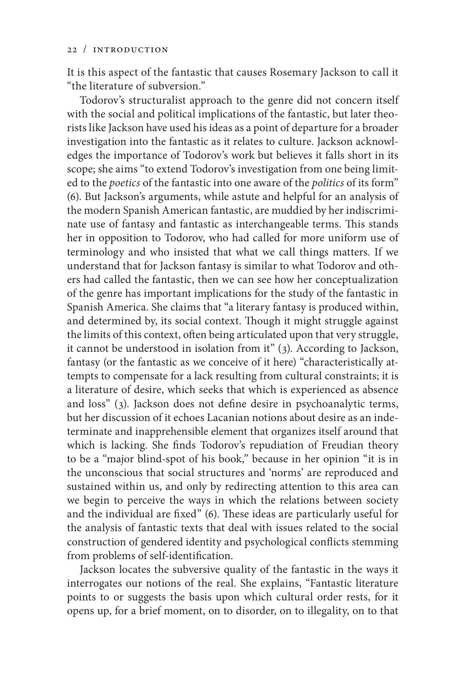It is this aspect of the fantastic that causes Rosemary Jackson to call it "the literature of subversion."

Todorov's structuralist approach to the genre did not concern itself with the social and political implications of the fantastic, but later theorists like Jackson have used his ideas as a point of departure for a broader investigation into the fantastic as it relates to culture. Jackson acknowledges the importance of Todorov's work but believes it falls short in its scope; she aims "to extend Todorov's investigation from one being limited to the *poetics* of the fantastic into one aware of the *politics* of its form" (6). But Jackson's arguments, while astute and helpful for an analysis of the modern Spanish American fantastic, are muddied by her indiscriminate use of fantasy and fantastic as interchangeable terms. This stands her in opposition to Todorov, who had called for more uniform use of terminology and who insisted that what we call things matters. If we understand that for Jackson fantasy is similar to what Todorov and others had called the fantastic, then we can see how her conceptualization of the genre has important implications for the study of the fantastic in Spanish America. She claims that "a literary fantasy is produced within, and determined by, its social context. Though it might struggle against the limits of this context, often being articulated upon that very struggle, it cannot be understood in isolation from it" (3). According to Jackson, fantasy (or the fantastic as we conceive of it here) "characteristically attempts to compensate for a lack resulting from cultural constraints; it is a literature of desire, which seeks that which is experienced as absence and loss" (3). Jackson does not define desire in psychoanalytic terms, but her discussion of it echoes Lacanian notions about desire as an indeterminate and inapprehensible element that organizes itself around that which is lacking. She finds Todorov's repudiation of Freudian theory to be a "major blind-spot of his book," because in her opinion "it is in the unconscious that social structures and 'norms' are reproduced and sustained within us, and only by redirecting attention to this area can we begin to perceive the ways in which the relations between society and the individual are fixed" (6). These ideas are particularly useful for the analysis of fantastic texts that deal with issues related to the social construction of gendered identity and psychological conflicts stemming from problems of self-identification.

Jackson locates the subversive quality of the fantastic in the ways it interrogates our notions of the real. She explains, "Fantastic literature points to or suggests the basis upon which cultural order rests, for it opens up, for a brief moment, on to disorder, on to illegality, on to that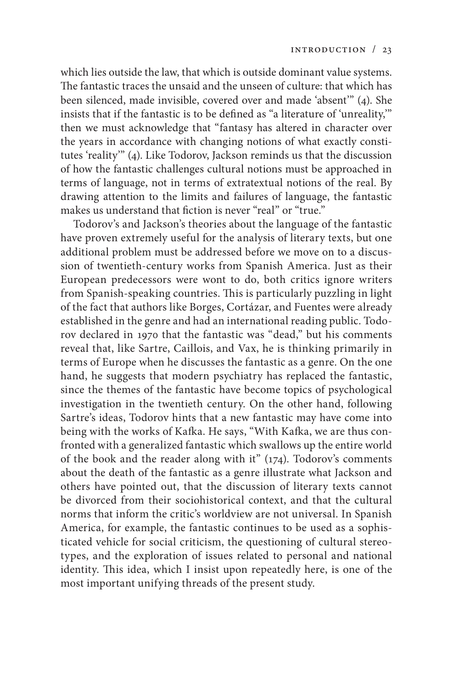which lies outside the law, that which is outside dominant value systems. The fantastic traces the unsaid and the unseen of culture: that which has been silenced, made invisible, covered over and made 'absent'" (4). She insists that if the fantastic is to be defined as "a literature of 'unreality,'" then we must acknowledge that "fantasy has altered in character over the years in accordance with changing notions of what exactly constitutes 'reality'" (4). Like Todorov, Jackson reminds us that the discussion of how the fantastic challenges cultural notions must be approached in terms of language, not in terms of extratextual notions of the real. By drawing attention to the limits and failures of language, the fantastic makes us understand that fiction is never "real" or "true."

Todorov's and Jackson's theories about the language of the fantastic have proven extremely useful for the analysis of literary texts, but one additional problem must be addressed before we move on to a discussion of twentieth-century works from Spanish America. Just as their European predecessors were wont to do, both critics ignore writers from Spanish-speaking countries. This is particularly puzzling in light of the fact that authors like Borges, Cortázar, and Fuentes were already established in the genre and had an international reading public. Todorov declared in 1970 that the fantastic was "dead," but his comments reveal that, like Sartre, Caillois, and Vax, he is thinking primarily in terms of Europe when he discusses the fantastic as a genre. On the one hand, he suggests that modern psychiatry has replaced the fantastic, since the themes of the fantastic have become topics of psychological investigation in the twentieth century. On the other hand, following Sartre's ideas, Todorov hints that a new fantastic may have come into being with the works of Kafka. He says, "With Kafka, we are thus confronted with a generalized fantastic which swallows up the entire world of the book and the reader along with it" (174). Todorov's comments about the death of the fantastic as a genre illustrate what Jackson and others have pointed out, that the discussion of literary texts cannot be divorced from their sociohistorical context, and that the cultural norms that inform the critic's worldview are not universal. In Spanish America, for example, the fantastic continues to be used as a sophisticated vehicle for social criticism, the questioning of cultural stereotypes, and the exploration of issues related to personal and national identity. This idea, which I insist upon repeatedly here, is one of the most important unifying threads of the present study.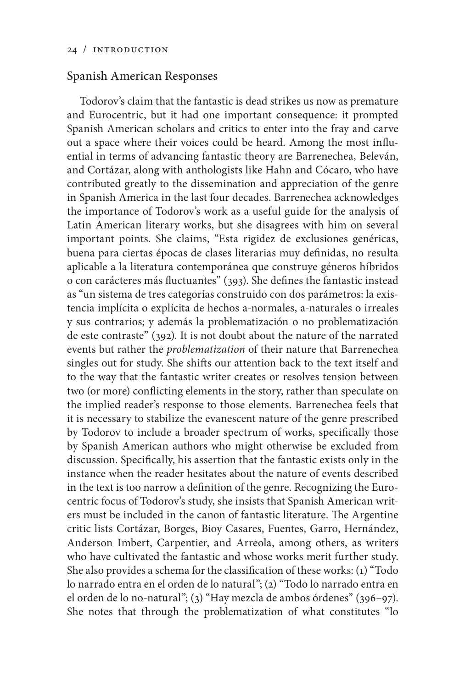## Spanish American Responses

Todorov's claim that the fantastic is dead strikes us now as premature and Eurocentric, but it had one important consequence: it prompted Spanish American scholars and critics to enter into the fray and carve out a space where their voices could be heard. Among the most influential in terms of advancing fantastic theory are Barrenechea, Beleván, and Cortázar, along with anthologists like Hahn and Cócaro, who have contributed greatly to the dissemination and appreciation of the genre in Spanish America in the last four decades. Barrenechea acknowledges the importance of Todorov's work as a useful guide for the analysis of Latin American literary works, but she disagrees with him on several important points. She claims, "Esta rigidez de exclusiones genéricas, buena para ciertas épocas de clases literarias muy definidas, no resulta aplicable a la literatura contemporánea que construye géneros híbridos o con carácteres más fluctuantes" (393). She defines the fantastic instead as "un sistema de tres categorías construido con dos parámetros: la existencia implícita o explícita de hechos a-normales, a-naturales o irreales y sus contrarios; y además la problematización o no problematización de este contraste" (392). It is not doubt about the nature of the narrated events but rather the *problematization* of their nature that Barrenechea singles out for study. She shifts our attention back to the text itself and to the way that the fantastic writer creates or resolves tension between two (or more) conflicting elements in the story, rather than speculate on the implied reader's response to those elements. Barrenechea feels that it is necessary to stabilize the evanescent nature of the genre prescribed by Todorov to include a broader spectrum of works, specifically those by Spanish American authors who might otherwise be excluded from discussion. Specifically, his assertion that the fantastic exists only in the instance when the reader hesitates about the nature of events described in the text is too narrow a definition of the genre. Recognizing the Eurocentric focus of Todorov's study, she insists that Spanish American writers must be included in the canon of fantastic literature. The Argentine critic lists Cortázar, Borges, Bioy Casares, Fuentes, Garro, Hernández, Anderson Imbert, Carpentier, and Arreola, among others, as writers who have cultivated the fantastic and whose works merit further study. She also provides a schema for the classification of these works: (1) "Todo lo narrado entra en el orden de lo natural"; (2) "Todo lo narrado entra en el orden de lo no-natural"; (3) "Hay mezcla de ambos órdenes" (396–97). She notes that through the problematization of what constitutes "lo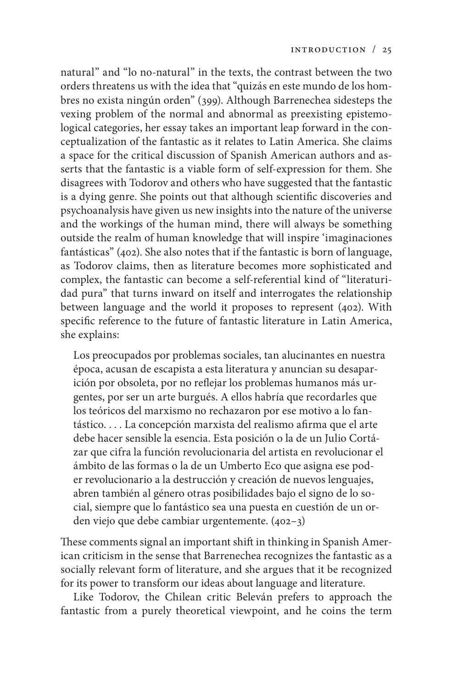natural" and "lo no-natural" in the texts, the contrast between the two orders threatens us with the idea that "quizás en este mundo de los hombres no exista ningún orden" (399). Although Barrenechea sidesteps the vexing problem of the normal and abnormal as preexisting epistemological categories, her essay takes an important leap forward in the conceptualization of the fantastic as it relates to Latin America. She claims a space for the critical discussion of Spanish American authors and asserts that the fantastic is a viable form of self-expression for them. She disagrees with Todorov and others who have suggested that the fantastic is a dying genre. She points out that although scientific discoveries and psychoanalysis have given us new insights into the nature of the universe and the workings of the human mind, there will always be something outside the realm of human knowledge that will inspire 'imaginaciones fantásticas" (402). She also notes that if the fantastic is born of language, as Todorov claims, then as literature becomes more sophisticated and complex, the fantastic can become a self-referential kind of "literaturidad pura" that turns inward on itself and interrogates the relationship between language and the world it proposes to represent (402). With specific reference to the future of fantastic literature in Latin America, she explains:

Los preocupados por problemas sociales, tan alucinantes en nuestra época, acusan de escapista a esta literatura y anuncian su desaparición por obsoleta, por no reflejar los problemas humanos más urgentes, por ser un arte burgués. A ellos habría que recordarles que los teóricos del marxismo no rechazaron por ese motivo a lo fantástico. . . . La concepción marxista del realismo afirma que el arte debe hacer sensible la esencia. Esta posición o la de un Julio Cortázar que cifra la función revolucionaria del artista en revolucionar el ámbito de las formas o la de un Umberto Eco que asigna ese poder revolucionario a la destrucción y creación de nuevos lenguajes, abren también al género otras posibilidades bajo el signo de lo social, siempre que lo fantástico sea una puesta en cuestión de un orden viejo que debe cambiar urgentemente. (402–3)

These comments signal an important shift in thinking in Spanish American criticism in the sense that Barrenechea recognizes the fantastic as a socially relevant form of literature, and she argues that it be recognized for its power to transform our ideas about language and literature.

Like Todorov, the Chilean critic Beleván prefers to approach the fantastic from a purely theoretical viewpoint, and he coins the term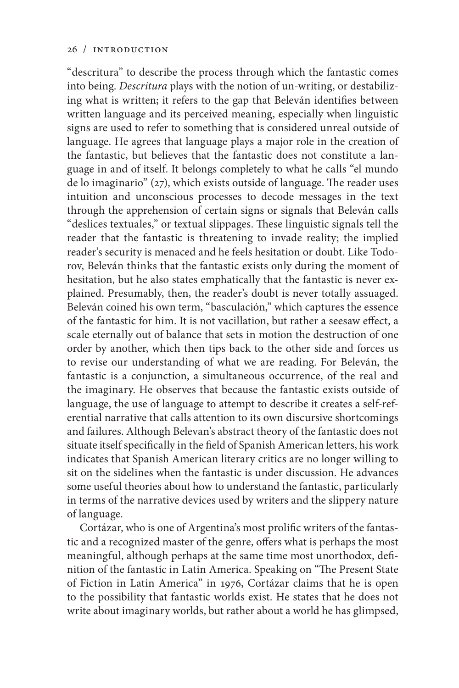"descritura" to describe the process through which the fantastic comes into being. *Descritura* plays with the notion of un-writing, or destabilizing what is written; it refers to the gap that Beleván identifies between written language and its perceived meaning, especially when linguistic signs are used to refer to something that is considered unreal outside of language. He agrees that language plays a major role in the creation of the fantastic, but believes that the fantastic does not constitute a language in and of itself. It belongs completely to what he calls "el mundo de lo imaginario" (27), which exists outside of language. The reader uses intuition and unconscious processes to decode messages in the text through the apprehension of certain signs or signals that Beleván calls "deslices textuales," or textual slippages. These linguistic signals tell the reader that the fantastic is threatening to invade reality; the implied reader's security is menaced and he feels hesitation or doubt. Like Todorov, Beleván thinks that the fantastic exists only during the moment of hesitation, but he also states emphatically that the fantastic is never explained. Presumably, then, the reader's doubt is never totally assuaged. Beleván coined his own term, "basculación," which captures the essence of the fantastic for him. It is not vacillation, but rather a seesaw effect, a scale eternally out of balance that sets in motion the destruction of one order by another, which then tips back to the other side and forces us to revise our understanding of what we are reading. For Beleván, the fantastic is a conjunction, a simultaneous occurrence, of the real and the imaginary. He observes that because the fantastic exists outside of language, the use of language to attempt to describe it creates a self-referential narrative that calls attention to its own discursive shortcomings and failures. Although Belevan's abstract theory of the fantastic does not situate itself specifically in the field of Spanish American letters, his work indicates that Spanish American literary critics are no longer willing to sit on the sidelines when the fantastic is under discussion. He advances some useful theories about how to understand the fantastic, particularly in terms of the narrative devices used by writers and the slippery nature of language.

Cortázar, who is one of Argentina's most prolific writers of the fantastic and a recognized master of the genre, offers what is perhaps the most meaningful, although perhaps at the same time most unorthodox, definition of the fantastic in Latin America. Speaking on "The Present State of Fiction in Latin America" in 1976, Cortázar claims that he is open to the possibility that fantastic worlds exist. He states that he does not write about imaginary worlds, but rather about a world he has glimpsed,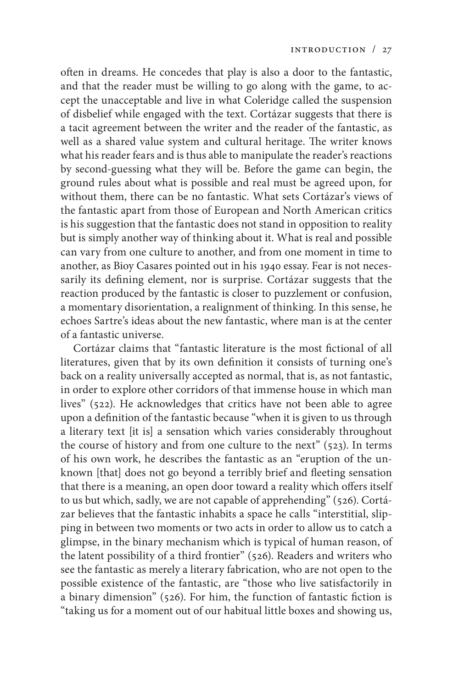often in dreams. He concedes that play is also a door to the fantastic, and that the reader must be willing to go along with the game, to accept the unacceptable and live in what Coleridge called the suspension of disbelief while engaged with the text. Cortázar suggests that there is a tacit agreement between the writer and the reader of the fantastic, as well as a shared value system and cultural heritage. The writer knows what his reader fears and is thus able to manipulate the reader's reactions by second-guessing what they will be. Before the game can begin, the ground rules about what is possible and real must be agreed upon, for without them, there can be no fantastic. What sets Cortázar's views of the fantastic apart from those of European and North American critics is his suggestion that the fantastic does not stand in opposition to reality but is simply another way of thinking about it. What is real and possible can vary from one culture to another, and from one moment in time to another, as Bioy Casares pointed out in his 1940 essay. Fear is not necessarily its defining element, nor is surprise. Cortázar suggests that the reaction produced by the fantastic is closer to puzzlement or confusion, a momentary disorientation, a realignment of thinking. In this sense, he echoes Sartre's ideas about the new fantastic, where man is at the center of a fantastic universe.

Cortázar claims that "fantastic literature is the most fictional of all literatures, given that by its own definition it consists of turning one's back on a reality universally accepted as normal, that is, as not fantastic, in order to explore other corridors of that immense house in which man lives" (522). He acknowledges that critics have not been able to agree upon a definition of the fantastic because "when it is given to us through a literary text [it is] a sensation which varies considerably throughout the course of history and from one culture to the next"  $(523)$ . In terms of his own work, he describes the fantastic as an "eruption of the unknown [that] does not go beyond a terribly brief and fleeting sensation that there is a meaning, an open door toward a reality which offers itself to us but which, sadly, we are not capable of apprehending" (526). Cortázar believes that the fantastic inhabits a space he calls "interstitial, slipping in between two moments or two acts in order to allow us to catch a glimpse, in the binary mechanism which is typical of human reason, of the latent possibility of a third frontier" (526). Readers and writers who see the fantastic as merely a literary fabrication, who are not open to the possible existence of the fantastic, are "those who live satisfactorily in a binary dimension" (526). For him, the function of fantastic fiction is "taking us for a moment out of our habitual little boxes and showing us,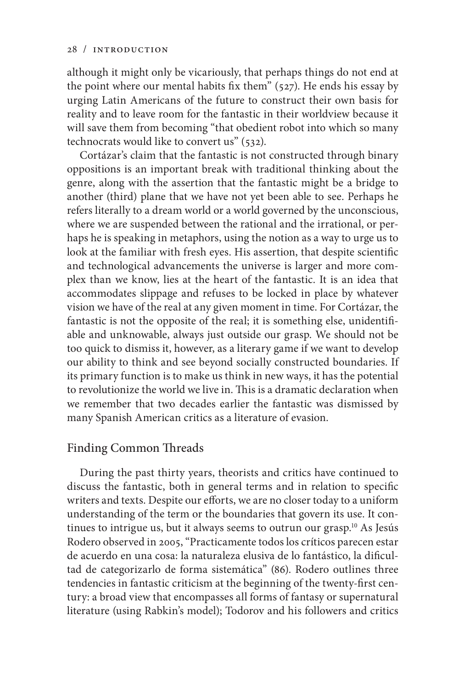although it might only be vicariously, that perhaps things do not end at the point where our mental habits fix them" (527). He ends his essay by urging Latin Americans of the future to construct their own basis for reality and to leave room for the fantastic in their worldview because it will save them from becoming "that obedient robot into which so many technocrats would like to convert us" (532).

Cortázar's claim that the fantastic is not constructed through binary oppositions is an important break with traditional thinking about the genre, along with the assertion that the fantastic might be a bridge to another (third) plane that we have not yet been able to see. Perhaps he refers literally to a dream world or a world governed by the unconscious, where we are suspended between the rational and the irrational, or perhaps he is speaking in metaphors, using the notion as a way to urge us to look at the familiar with fresh eyes. His assertion, that despite scientific and technological advancements the universe is larger and more complex than we know, lies at the heart of the fantastic. It is an idea that accommodates slippage and refuses to be locked in place by whatever vision we have of the real at any given moment in time. For Cortázar, the fantastic is not the opposite of the real; it is something else, unidentifiable and unknowable, always just outside our grasp. We should not be too quick to dismiss it, however, as a literary game if we want to develop our ability to think and see beyond socially constructed boundaries. If its primary function is to make us think in new ways, it has the potential to revolutionize the world we live in. This is a dramatic declaration when we remember that two decades earlier the fantastic was dismissed by many Spanish American critics as a literature of evasion.

## Finding Common Threads

During the past thirty years, theorists and critics have continued to discuss the fantastic, both in general terms and in relation to specific writers and texts. Despite our efforts, we are no closer today to a uniform understanding of the term or the boundaries that govern its use. It continues to intrigue us, but it always seems to outrun our grasp.<sup>10</sup> As Jesús Rodero observed in 2005, "Practicamente todos los críticos parecen estar de acuerdo en una cosa: la naturaleza elusiva de lo fantástico, la dificultad de categorizarlo de forma sistemática" (86). Rodero outlines three tendencies in fantastic criticism at the beginning of the twenty-first century: a broad view that encompasses all forms of fantasy or supernatural literature (using Rabkin's model); Todorov and his followers and critics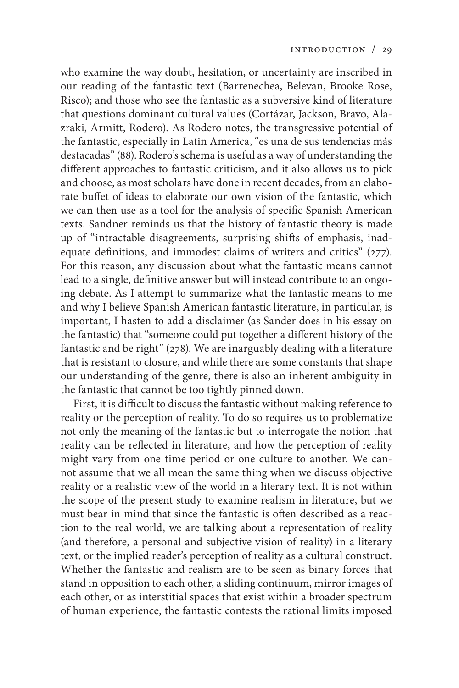who examine the way doubt, hesitation, or uncertainty are inscribed in our reading of the fantastic text (Barrenechea, Belevan, Brooke Rose, Risco); and those who see the fantastic as a subversive kind of literature that questions dominant cultural values (Cortázar, Jackson, Bravo, Alazraki, Armitt, Rodero). As Rodero notes, the transgressive potential of the fantastic, especially in Latin America, "es una de sus tendencias más destacadas" (88). Rodero's schema is useful as a way of understanding the different approaches to fantastic criticism, and it also allows us to pick and choose, as most scholars have done in recent decades, from an elaborate buffet of ideas to elaborate our own vision of the fantastic, which we can then use as a tool for the analysis of specific Spanish American texts. Sandner reminds us that the history of fantastic theory is made up of "intractable disagreements, surprising shifts of emphasis, inadequate definitions, and immodest claims of writers and critics" (277). For this reason, any discussion about what the fantastic means cannot lead to a single, definitive answer but will instead contribute to an ongoing debate. As I attempt to summarize what the fantastic means to me and why I believe Spanish American fantastic literature, in particular, is important, I hasten to add a disclaimer (as Sander does in his essay on the fantastic) that "someone could put together a different history of the fantastic and be right" (278). We are inarguably dealing with a literature that is resistant to closure, and while there are some constants that shape our understanding of the genre, there is also an inherent ambiguity in the fantastic that cannot be too tightly pinned down.

First, it is difficult to discuss the fantastic without making reference to reality or the perception of reality. To do so requires us to problematize not only the meaning of the fantastic but to interrogate the notion that reality can be reflected in literature, and how the perception of reality might vary from one time period or one culture to another. We cannot assume that we all mean the same thing when we discuss objective reality or a realistic view of the world in a literary text. It is not within the scope of the present study to examine realism in literature, but we must bear in mind that since the fantastic is often described as a reaction to the real world, we are talking about a representation of reality (and therefore, a personal and subjective vision of reality) in a literary text, or the implied reader's perception of reality as a cultural construct. Whether the fantastic and realism are to be seen as binary forces that stand in opposition to each other, a sliding continuum, mirror images of each other, or as interstitial spaces that exist within a broader spectrum of human experience, the fantastic contests the rational limits imposed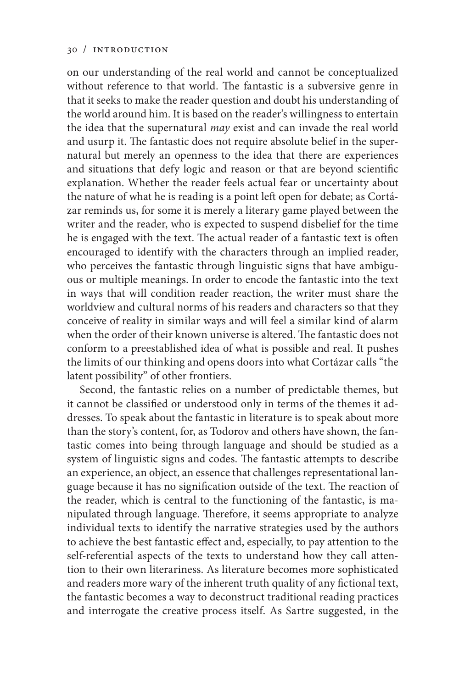on our understanding of the real world and cannot be conceptualized without reference to that world. The fantastic is a subversive genre in that it seeks to make the reader question and doubt his understanding of the world around him. It is based on the reader's willingness to entertain the idea that the supernatural *may* exist and can invade the real world and usurp it. The fantastic does not require absolute belief in the supernatural but merely an openness to the idea that there are experiences and situations that defy logic and reason or that are beyond scientific explanation. Whether the reader feels actual fear or uncertainty about the nature of what he is reading is a point left open for debate; as Cortázar reminds us, for some it is merely a literary game played between the writer and the reader, who is expected to suspend disbelief for the time he is engaged with the text. The actual reader of a fantastic text is often encouraged to identify with the characters through an implied reader, who perceives the fantastic through linguistic signs that have ambiguous or multiple meanings. In order to encode the fantastic into the text in ways that will condition reader reaction, the writer must share the worldview and cultural norms of his readers and characters so that they conceive of reality in similar ways and will feel a similar kind of alarm when the order of their known universe is altered. The fantastic does not conform to a preestablished idea of what is possible and real. It pushes the limits of our thinking and opens doors into what Cortázar calls "the latent possibility" of other frontiers.

Second, the fantastic relies on a number of predictable themes, but it cannot be classified or understood only in terms of the themes it addresses. To speak about the fantastic in literature is to speak about more than the story's content, for, as Todorov and others have shown, the fantastic comes into being through language and should be studied as a system of linguistic signs and codes. The fantastic attempts to describe an experience, an object, an essence that challenges representational language because it has no signification outside of the text. The reaction of the reader, which is central to the functioning of the fantastic, is manipulated through language. Therefore, it seems appropriate to analyze individual texts to identify the narrative strategies used by the authors to achieve the best fantastic effect and, especially, to pay attention to the self-referential aspects of the texts to understand how they call attention to their own literariness. As literature becomes more sophisticated and readers more wary of the inherent truth quality of any fictional text, the fantastic becomes a way to deconstruct traditional reading practices and interrogate the creative process itself. As Sartre suggested, in the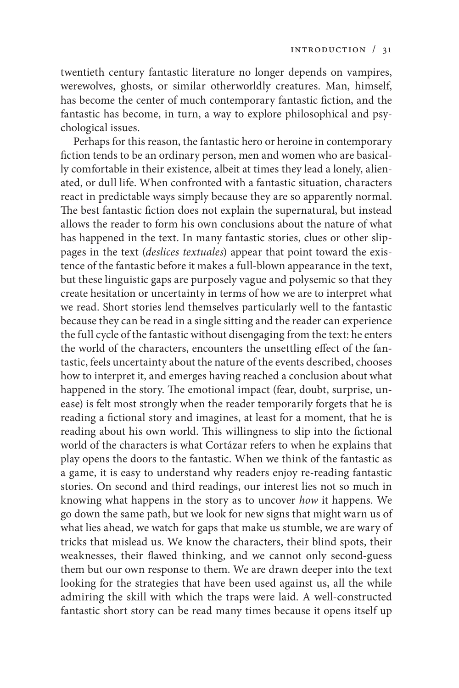twentieth century fantastic literature no longer depends on vampires, werewolves, ghosts, or similar otherworldly creatures. Man, himself, has become the center of much contemporary fantastic fiction, and the fantastic has become, in turn, a way to explore philosophical and psychological issues.

Perhaps for this reason, the fantastic hero or heroine in contemporary fiction tends to be an ordinary person, men and women who are basically comfortable in their existence, albeit at times they lead a lonely, alienated, or dull life. When confronted with a fantastic situation, characters react in predictable ways simply because they are so apparently normal. The best fantastic fiction does not explain the supernatural, but instead allows the reader to form his own conclusions about the nature of what has happened in the text. In many fantastic stories, clues or other slippages in the text (*deslices textuales*) appear that point toward the existence of the fantastic before it makes a full-blown appearance in the text, but these linguistic gaps are purposely vague and polysemic so that they create hesitation or uncertainty in terms of how we are to interpret what we read. Short stories lend themselves particularly well to the fantastic because they can be read in a single sitting and the reader can experience the full cycle of the fantastic without disengaging from the text: he enters the world of the characters, encounters the unsettling effect of the fantastic, feels uncertainty about the nature of the events described, chooses how to interpret it, and emerges having reached a conclusion about what happened in the story. The emotional impact (fear, doubt, surprise, unease) is felt most strongly when the reader temporarily forgets that he is reading a fictional story and imagines, at least for a moment, that he is reading about his own world. This willingness to slip into the fictional world of the characters is what Cortázar refers to when he explains that play opens the doors to the fantastic. When we think of the fantastic as a game, it is easy to understand why readers enjoy re-reading fantastic stories. On second and third readings, our interest lies not so much in knowing what happens in the story as to uncover *how* it happens. We go down the same path, but we look for new signs that might warn us of what lies ahead, we watch for gaps that make us stumble, we are wary of tricks that mislead us. We know the characters, their blind spots, their weaknesses, their flawed thinking, and we cannot only second-guess them but our own response to them. We are drawn deeper into the text looking for the strategies that have been used against us, all the while admiring the skill with which the traps were laid. A well-constructed fantastic short story can be read many times because it opens itself up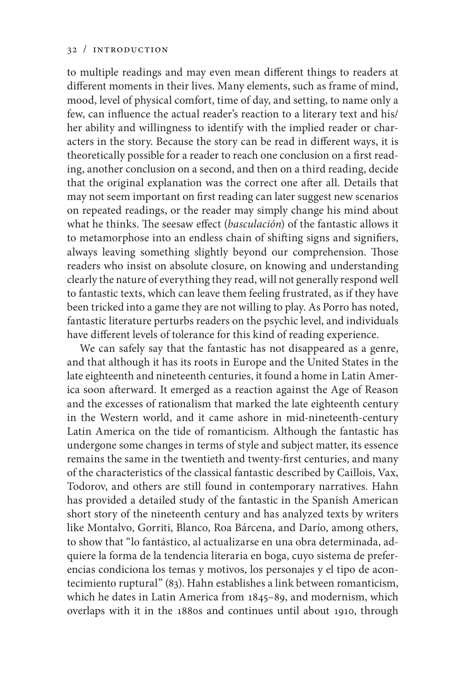to multiple readings and may even mean different things to readers at different moments in their lives. Many elements, such as frame of mind, mood, level of physical comfort, time of day, and setting, to name only a few, can influence the actual reader's reaction to a literary text and his/ her ability and willingness to identify with the implied reader or characters in the story. Because the story can be read in different ways, it is theoretically possible for a reader to reach one conclusion on a first reading, another conclusion on a second, and then on a third reading, decide that the original explanation was the correct one after all. Details that may not seem important on first reading can later suggest new scenarios on repeated readings, or the reader may simply change his mind about what he thinks. The seesaw effect (*basculación*) of the fantastic allows it to metamorphose into an endless chain of shifting signs and signifiers, always leaving something slightly beyond our comprehension. Those readers who insist on absolute closure, on knowing and understanding clearly the nature of everything they read, will not generally respond well to fantastic texts, which can leave them feeling frustrated, as if they have been tricked into a game they are not willing to play. As Porro has noted, fantastic literature perturbs readers on the psychic level, and individuals have different levels of tolerance for this kind of reading experience.

We can safely say that the fantastic has not disappeared as a genre, and that although it has its roots in Europe and the United States in the late eighteenth and nineteenth centuries, it found a home in Latin America soon afterward. It emerged as a reaction against the Age of Reason and the excesses of rationalism that marked the late eighteenth century in the Western world, and it came ashore in mid-nineteenth-century Latin America on the tide of romanticism. Although the fantastic has undergone some changes in terms of style and subject matter, its essence remains the same in the twentieth and twenty-first centuries, and many of the characteristics of the classical fantastic described by Caillois, Vax, Todorov, and others are still found in contemporary narratives. Hahn has provided a detailed study of the fantastic in the Spanish American short story of the nineteenth century and has analyzed texts by writers like Montalvo, Gorriti, Blanco, Roa Bárcena, and Darío, among others, to show that "lo fantástico, al actualizarse en una obra determinada, adquiere la forma de la tendencia literaria en boga, cuyo sistema de preferencias condiciona los temas y motivos, los personajes y el tipo de acontecimiento ruptural" (83). Hahn establishes a link between romanticism, which he dates in Latin America from 1845–89, and modernism, which overlaps with it in the 1880s and continues until about 1910, through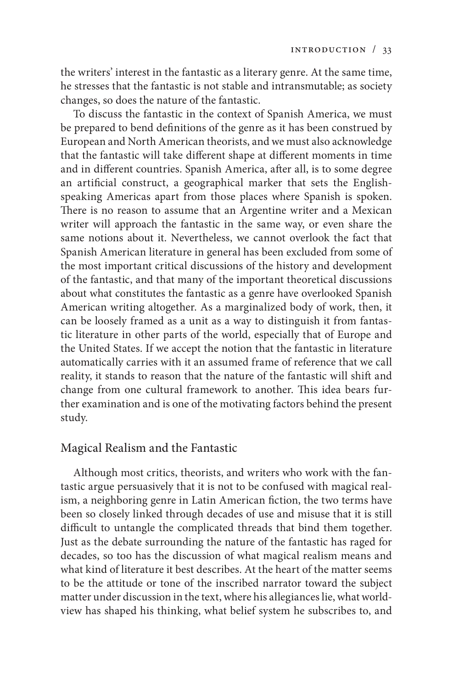the writers' interest in the fantastic as a literary genre. At the same time, he stresses that the fantastic is not stable and intransmutable; as society changes, so does the nature of the fantastic.

To discuss the fantastic in the context of Spanish America, we must be prepared to bend definitions of the genre as it has been construed by European and North American theorists, and we must also acknowledge that the fantastic will take different shape at different moments in time and in different countries. Spanish America, after all, is to some degree an artificial construct, a geographical marker that sets the Englishspeaking Americas apart from those places where Spanish is spoken. There is no reason to assume that an Argentine writer and a Mexican writer will approach the fantastic in the same way, or even share the same notions about it. Nevertheless, we cannot overlook the fact that Spanish American literature in general has been excluded from some of the most important critical discussions of the history and development of the fantastic, and that many of the important theoretical discussions about what constitutes the fantastic as a genre have overlooked Spanish American writing altogether. As a marginalized body of work, then, it can be loosely framed as a unit as a way to distinguish it from fantastic literature in other parts of the world, especially that of Europe and the United States. If we accept the notion that the fantastic in literature automatically carries with it an assumed frame of reference that we call reality, it stands to reason that the nature of the fantastic will shift and change from one cultural framework to another. This idea bears further examination and is one of the motivating factors behind the present study.

## Magical Realism and the Fantastic

Although most critics, theorists, and writers who work with the fantastic argue persuasively that it is not to be confused with magical realism, a neighboring genre in Latin American fiction, the two terms have been so closely linked through decades of use and misuse that it is still difficult to untangle the complicated threads that bind them together. Just as the debate surrounding the nature of the fantastic has raged for decades, so too has the discussion of what magical realism means and what kind of literature it best describes. At the heart of the matter seems to be the attitude or tone of the inscribed narrator toward the subject matter under discussion in the text, where his allegiances lie, what worldview has shaped his thinking, what belief system he subscribes to, and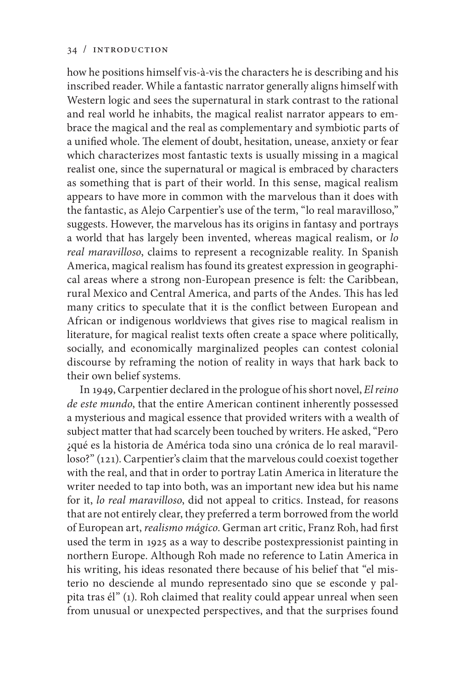how he positions himself vis-à-vis the characters he is describing and his inscribed reader. While a fantastic narrator generally aligns himself with Western logic and sees the supernatural in stark contrast to the rational and real world he inhabits, the magical realist narrator appears to embrace the magical and the real as complementary and symbiotic parts of a unified whole. The element of doubt, hesitation, unease, anxiety or fear which characterizes most fantastic texts is usually missing in a magical realist one, since the supernatural or magical is embraced by characters as something that is part of their world. In this sense, magical realism appears to have more in common with the marvelous than it does with the fantastic, as Alejo Carpentier's use of the term, "lo real maravilloso," suggests. However, the marvelous has its origins in fantasy and portrays a world that has largely been invented, whereas magical realism, or *lo real maravilloso*, claims to represent a recognizable reality. In Spanish America, magical realism has found its greatest expression in geographical areas where a strong non-European presence is felt: the Caribbean, rural Mexico and Central America, and parts of the Andes. This has led many critics to speculate that it is the conflict between European and African or indigenous worldviews that gives rise to magical realism in literature, for magical realist texts often create a space where politically, socially, and economically marginalized peoples can contest colonial discourse by reframing the notion of reality in ways that hark back to their own belief systems.

In 1949, Carpentier declared in the prologue of his short novel, *El reino de este mundo*, that the entire American continent inherently possessed a mysterious and magical essence that provided writers with a wealth of subject matter that had scarcely been touched by writers. He asked, "Pero ¿qué es la historia de América toda sino una crónica de lo real maravilloso?" (121). Carpentier's claim that the marvelous could coexist together with the real, and that in order to portray Latin America in literature the writer needed to tap into both, was an important new idea but his name for it, *lo real maravilloso*, did not appeal to critics. Instead, for reasons that are not entirely clear, they preferred a term borrowed from the world of European art, *realismo mágico*. German art critic, Franz Roh, had first used the term in 1925 as a way to describe postexpressionist painting in northern Europe. Although Roh made no reference to Latin America in his writing, his ideas resonated there because of his belief that "el misterio no desciende al mundo representado sino que se esconde y palpita tras él" (1). Roh claimed that reality could appear unreal when seen from unusual or unexpected perspectives, and that the surprises found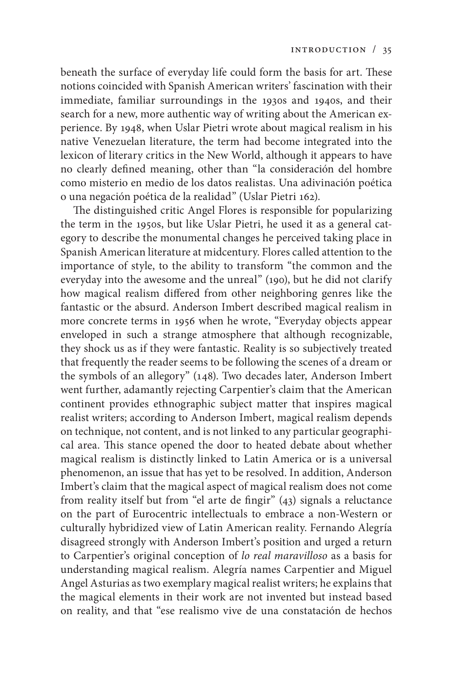beneath the surface of everyday life could form the basis for art. These notions coincided with Spanish American writers' fascination with their immediate, familiar surroundings in the 1930s and 1940s, and their search for a new, more authentic way of writing about the American experience. By 1948, when Uslar Pietri wrote about magical realism in his native Venezuelan literature, the term had become integrated into the lexicon of literary critics in the New World, although it appears to have no clearly defined meaning, other than "la consideración del hombre como misterio en medio de los datos realistas. Una adivinación poética o una negación poética de la realidad" (Uslar Pietri 162).

The distinguished critic Angel Flores is responsible for popularizing the term in the 1950s, but like Uslar Pietri, he used it as a general category to describe the monumental changes he perceived taking place in Spanish American literature at midcentury. Flores called attention to the importance of style, to the ability to transform "the common and the everyday into the awesome and the unreal" (190), but he did not clarify how magical realism differed from other neighboring genres like the fantastic or the absurd. Anderson Imbert described magical realism in more concrete terms in 1956 when he wrote, "Everyday objects appear enveloped in such a strange atmosphere that although recognizable, they shock us as if they were fantastic. Reality is so subjectively treated that frequently the reader seems to be following the scenes of a dream or the symbols of an allegory" (148). Two decades later, Anderson Imbert went further, adamantly rejecting Carpentier's claim that the American continent provides ethnographic subject matter that inspires magical realist writers; according to Anderson Imbert, magical realism depends on technique, not content, and is not linked to any particular geographical area. This stance opened the door to heated debate about whether magical realism is distinctly linked to Latin America or is a universal phenomenon, an issue that has yet to be resolved. In addition, Anderson Imbert's claim that the magical aspect of magical realism does not come from reality itself but from "el arte de fingir" (43) signals a reluctance on the part of Eurocentric intellectuals to embrace a non-Western or culturally hybridized view of Latin American reality. Fernando Alegría disagreed strongly with Anderson Imbert's position and urged a return to Carpentier's original conception of *lo real maravilloso* as a basis for understanding magical realism. Alegría names Carpentier and Miguel Angel Asturias as two exemplary magical realist writers; he explains that the magical elements in their work are not invented but instead based on reality, and that "ese realismo vive de una constatación de hechos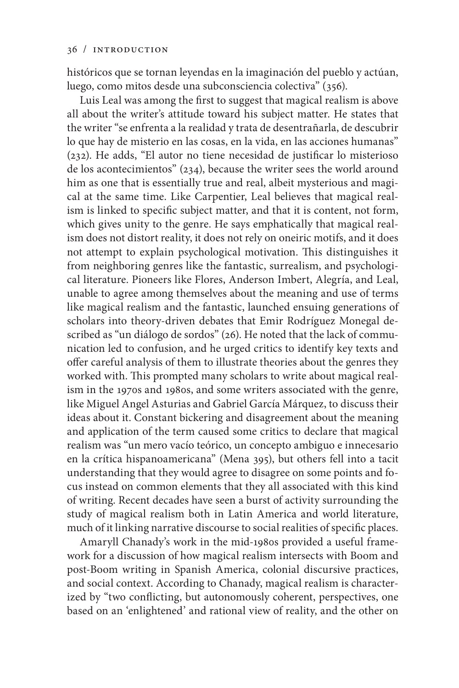históricos que se tornan leyendas en la imaginación del pueblo y actúan, luego, como mitos desde una subconsciencia colectiva" (356).

Luis Leal was among the first to suggest that magical realism is above all about the writer's attitude toward his subject matter. He states that the writer "se enfrenta a la realidad y trata de desentrañarla, de descubrir lo que hay de misterio en las cosas, en la vida, en las acciones humanas" (232). He adds, "El autor no tiene necesidad de justificar lo misterioso de los acontecimientos" (234), because the writer sees the world around him as one that is essentially true and real, albeit mysterious and magical at the same time. Like Carpentier, Leal believes that magical realism is linked to specific subject matter, and that it is content, not form, which gives unity to the genre. He says emphatically that magical realism does not distort reality, it does not rely on oneiric motifs, and it does not attempt to explain psychological motivation. This distinguishes it from neighboring genres like the fantastic, surrealism, and psychological literature. Pioneers like Flores, Anderson Imbert, Alegría, and Leal, unable to agree among themselves about the meaning and use of terms like magical realism and the fantastic, launched ensuing generations of scholars into theory-driven debates that Emir Rodríguez Monegal described as "un diálogo de sordos" (26). He noted that the lack of communication led to confusion, and he urged critics to identify key texts and offer careful analysis of them to illustrate theories about the genres they worked with. This prompted many scholars to write about magical realism in the 1970s and 1980s, and some writers associated with the genre, like Miguel Angel Asturias and Gabriel García Márquez, to discuss their ideas about it. Constant bickering and disagreement about the meaning and application of the term caused some critics to declare that magical realism was "un mero vacío teórico, un concepto ambiguo e innecesario en la crítica hispanoamericana" (Mena 395), but others fell into a tacit understanding that they would agree to disagree on some points and focus instead on common elements that they all associated with this kind of writing. Recent decades have seen a burst of activity surrounding the study of magical realism both in Latin America and world literature, much of it linking narrative discourse to social realities of specific places.

Amaryll Chanady's work in the mid-1980s provided a useful framework for a discussion of how magical realism intersects with Boom and post-Boom writing in Spanish America, colonial discursive practices, and social context. According to Chanady, magical realism is characterized by "two conflicting, but autonomously coherent, perspectives, one based on an 'enlightened' and rational view of reality, and the other on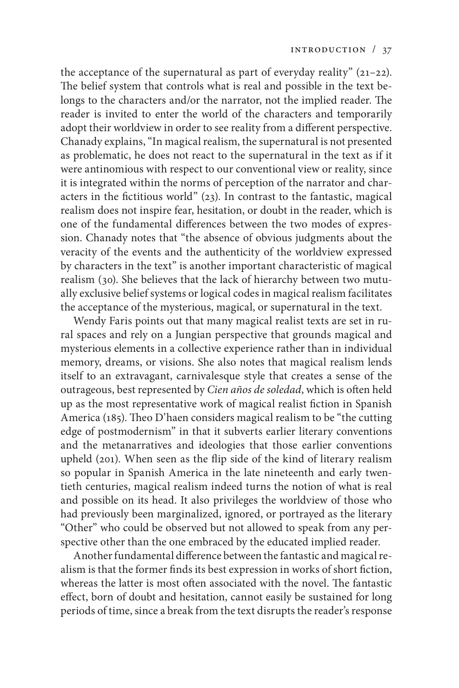the acceptance of the supernatural as part of everyday reality"  $(21-22)$ . The belief system that controls what is real and possible in the text belongs to the characters and/or the narrator, not the implied reader. The reader is invited to enter the world of the characters and temporarily adopt their worldview in order to see reality from a different perspective. Chanady explains, "In magical realism, the supernatural is not presented as problematic, he does not react to the supernatural in the text as if it were antinomious with respect to our conventional view or reality, since it is integrated within the norms of perception of the narrator and characters in the fictitious world" (23). In contrast to the fantastic, magical realism does not inspire fear, hesitation, or doubt in the reader, which is one of the fundamental differences between the two modes of expression. Chanady notes that "the absence of obvious judgments about the veracity of the events and the authenticity of the worldview expressed by characters in the text" is another important characteristic of magical realism (30). She believes that the lack of hierarchy between two mutually exclusive belief systems or logical codes in magical realism facilitates the acceptance of the mysterious, magical, or supernatural in the text.

Wendy Faris points out that many magical realist texts are set in rural spaces and rely on a Jungian perspective that grounds magical and mysterious elements in a collective experience rather than in individual memory, dreams, or visions. She also notes that magical realism lends itself to an extravagant, carnivalesque style that creates a sense of the outrageous, best represented by *Cien años de soledad*, which is often held up as the most representative work of magical realist fiction in Spanish America (185). Theo D'haen considers magical realism to be "the cutting edge of postmodernism" in that it subverts earlier literary conventions and the metanarratives and ideologies that those earlier conventions upheld (201). When seen as the flip side of the kind of literary realism so popular in Spanish America in the late nineteenth and early twentieth centuries, magical realism indeed turns the notion of what is real and possible on its head. It also privileges the worldview of those who had previously been marginalized, ignored, or portrayed as the literary "Other" who could be observed but not allowed to speak from any perspective other than the one embraced by the educated implied reader.

Another fundamental difference between the fantastic and magical realism is that the former finds its best expression in works of short fiction, whereas the latter is most often associated with the novel. The fantastic effect, born of doubt and hesitation, cannot easily be sustained for long periods of time, since a break from the text disrupts the reader's response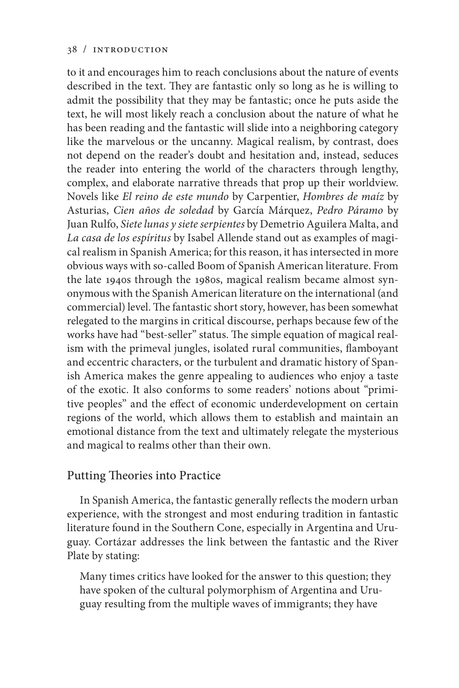to it and encourages him to reach conclusions about the nature of events described in the text. They are fantastic only so long as he is willing to admit the possibility that they may be fantastic; once he puts aside the text, he will most likely reach a conclusion about the nature of what he has been reading and the fantastic will slide into a neighboring category like the marvelous or the uncanny. Magical realism, by contrast, does not depend on the reader's doubt and hesitation and, instead, seduces the reader into entering the world of the characters through lengthy, complex, and elaborate narrative threads that prop up their worldview. Novels like *El reino de este mundo* by Carpentier, *Hombres de maíz* by Asturias, *Cien años de soledad* by García Márquez, *Pedro Páramo* by Juan Rulfo, *Siete lunas y siete serpientes* by Demetrio Aguilera Malta, and *La casa de los espíritus* by Isabel Allende stand out as examples of magical realism in Spanish America; for this reason, it has intersected in more obvious ways with so-called Boom of Spanish American literature. From the late 1940s through the 1980s, magical realism became almost synonymous with the Spanish American literature on the international (and commercial) level. The fantastic short story, however, has been somewhat relegated to the margins in critical discourse, perhaps because few of the works have had "best-seller" status. The simple equation of magical realism with the primeval jungles, isolated rural communities, flamboyant and eccentric characters, or the turbulent and dramatic history of Spanish America makes the genre appealing to audiences who enjoy a taste of the exotic. It also conforms to some readers' notions about "primitive peoples" and the effect of economic underdevelopment on certain regions of the world, which allows them to establish and maintain an emotional distance from the text and ultimately relegate the mysterious and magical to realms other than their own.

# Putting Theories into Practice

In Spanish America, the fantastic generally reflects the modern urban experience, with the strongest and most enduring tradition in fantastic literature found in the Southern Cone, especially in Argentina and Uruguay. Cortázar addresses the link between the fantastic and the River Plate by stating:

Many times critics have looked for the answer to this question; they have spoken of the cultural polymorphism of Argentina and Uruguay resulting from the multiple waves of immigrants; they have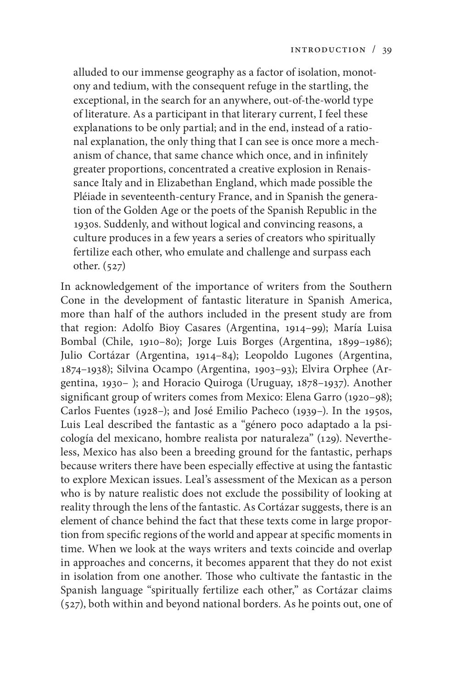alluded to our immense geography as a factor of isolation, monotony and tedium, with the consequent refuge in the startling, the exceptional, in the search for an anywhere, out-of-the-world type of literature. As a participant in that literary current, I feel these explanations to be only partial; and in the end, instead of a rational explanation, the only thing that I can see is once more a mechanism of chance, that same chance which once, and in infinitely greater proportions, concentrated a creative explosion in Renaissance Italy and in Elizabethan England, which made possible the Pléiade in seventeenth-century France, and in Spanish the generation of the Golden Age or the poets of the Spanish Republic in the 1930s. Suddenly, and without logical and convincing reasons, a culture produces in a few years a series of creators who spiritually fertilize each other, who emulate and challenge and surpass each other. (527)

In acknowledgement of the importance of writers from the Southern Cone in the development of fantastic literature in Spanish America, more than half of the authors included in the present study are from that region: Adolfo Bioy Casares (Argentina, 1914–99); María Luisa Bombal (Chile, 1910–80); Jorge Luis Borges (Argentina, 1899–1986); Julio Cortázar (Argentina, 1914–84); Leopoldo Lugones (Argentina, 1874–1938); Silvina Ocampo (Argentina, 1903–93); Elvira Orphee (Argentina, 1930– ); and Horacio Quiroga (Uruguay, 1878–1937). Another significant group of writers comes from Mexico: Elena Garro (1920–98); Carlos Fuentes (1928–); and José Emilio Pacheco (1939–). In the 1950s, Luis Leal described the fantastic as a "género poco adaptado a la psicología del mexicano, hombre realista por naturaleza" (129). Nevertheless, Mexico has also been a breeding ground for the fantastic, perhaps because writers there have been especially effective at using the fantastic to explore Mexican issues. Leal's assessment of the Mexican as a person who is by nature realistic does not exclude the possibility of looking at reality through the lens of the fantastic. As Cortázar suggests, there is an element of chance behind the fact that these texts come in large proportion from specific regions of the world and appear at specific moments in time. When we look at the ways writers and texts coincide and overlap in approaches and concerns, it becomes apparent that they do not exist in isolation from one another. Those who cultivate the fantastic in the Spanish language "spiritually fertilize each other," as Cortázar claims (527), both within and beyond national borders. As he points out, one of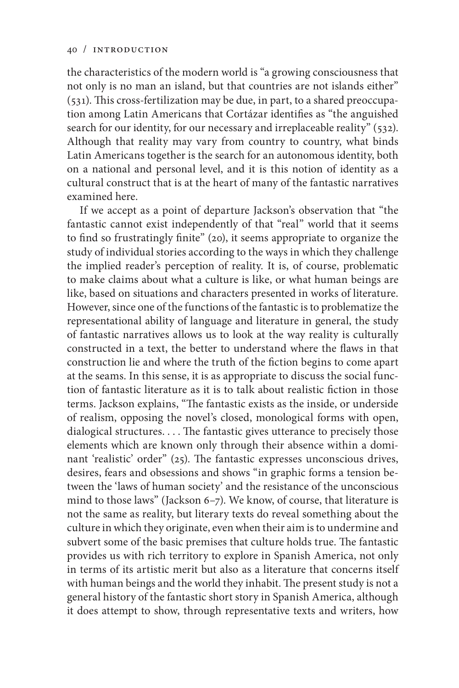the characteristics of the modern world is "a growing consciousness that not only is no man an island, but that countries are not islands either" (531). This cross-fertilization may be due, in part, to a shared preoccupation among Latin Americans that Cortázar identifies as "the anguished search for our identity, for our necessary and irreplaceable reality" (532). Although that reality may vary from country to country, what binds Latin Americans together is the search for an autonomous identity, both on a national and personal level, and it is this notion of identity as a cultural construct that is at the heart of many of the fantastic narratives examined here.

If we accept as a point of departure Jackson's observation that "the fantastic cannot exist independently of that "real" world that it seems to find so frustratingly finite" (20), it seems appropriate to organize the study of individual stories according to the ways in which they challenge the implied reader's perception of reality. It is, of course, problematic to make claims about what a culture is like, or what human beings are like, based on situations and characters presented in works of literature. However, since one of the functions of the fantastic is to problematize the representational ability of language and literature in general, the study of fantastic narratives allows us to look at the way reality is culturally constructed in a text, the better to understand where the flaws in that construction lie and where the truth of the fiction begins to come apart at the seams. In this sense, it is as appropriate to discuss the social function of fantastic literature as it is to talk about realistic fiction in those terms. Jackson explains, "The fantastic exists as the inside, or underside of realism, opposing the novel's closed, monological forms with open, dialogical structures. . . . The fantastic gives utterance to precisely those elements which are known only through their absence within a dominant 'realistic' order" (25). The fantastic expresses unconscious drives, desires, fears and obsessions and shows "in graphic forms a tension between the 'laws of human society' and the resistance of the unconscious mind to those laws" (Jackson 6–7). We know, of course, that literature is not the same as reality, but literary texts do reveal something about the culture in which they originate, even when their aim is to undermine and subvert some of the basic premises that culture holds true. The fantastic provides us with rich territory to explore in Spanish America, not only in terms of its artistic merit but also as a literature that concerns itself with human beings and the world they inhabit. The present study is not a general history of the fantastic short story in Spanish America, although it does attempt to show, through representative texts and writers, how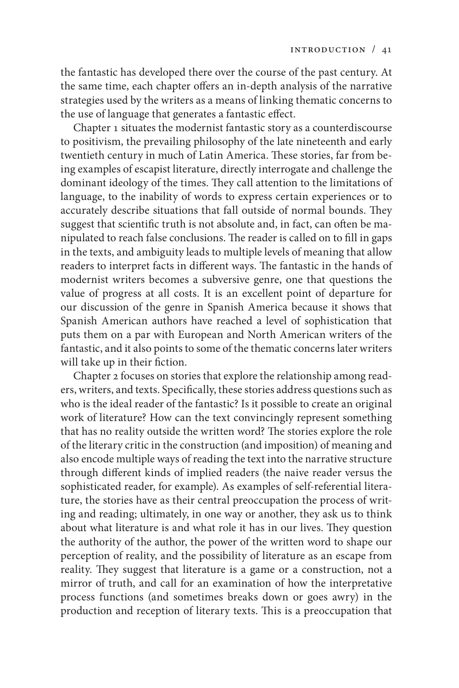the fantastic has developed there over the course of the past century. At the same time, each chapter offers an in-depth analysis of the narrative strategies used by the writers as a means of linking thematic concerns to the use of language that generates a fantastic effect.

Chapter 1 situates the modernist fantastic story as a counterdiscourse to positivism, the prevailing philosophy of the late nineteenth and early twentieth century in much of Latin America. These stories, far from being examples of escapist literature, directly interrogate and challenge the dominant ideology of the times. They call attention to the limitations of language, to the inability of words to express certain experiences or to accurately describe situations that fall outside of normal bounds. They suggest that scientific truth is not absolute and, in fact, can often be manipulated to reach false conclusions. The reader is called on to fill in gaps in the texts, and ambiguity leads to multiple levels of meaning that allow readers to interpret facts in different ways. The fantastic in the hands of modernist writers becomes a subversive genre, one that questions the value of progress at all costs. It is an excellent point of departure for our discussion of the genre in Spanish America because it shows that Spanish American authors have reached a level of sophistication that puts them on a par with European and North American writers of the fantastic, and it also points to some of the thematic concerns later writers will take up in their fiction.

Chapter 2 focuses on stories that explore the relationship among readers, writers, and texts. Specifically, these stories address questions such as who is the ideal reader of the fantastic? Is it possible to create an original work of literature? How can the text convincingly represent something that has no reality outside the written word? The stories explore the role of the literary critic in the construction (and imposition) of meaning and also encode multiple ways of reading the text into the narrative structure through different kinds of implied readers (the naive reader versus the sophisticated reader, for example). As examples of self-referential literature, the stories have as their central preoccupation the process of writing and reading; ultimately, in one way or another, they ask us to think about what literature is and what role it has in our lives. They question the authority of the author, the power of the written word to shape our perception of reality, and the possibility of literature as an escape from reality. They suggest that literature is a game or a construction, not a mirror of truth, and call for an examination of how the interpretative process functions (and sometimes breaks down or goes awry) in the production and reception of literary texts. This is a preoccupation that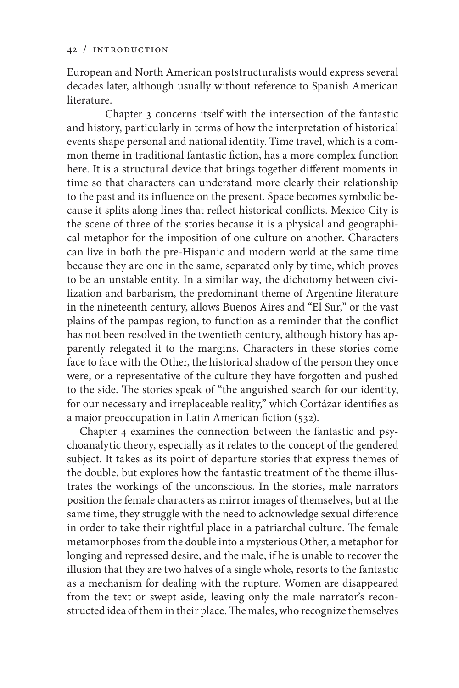European and North American poststructuralists would express several decades later, although usually without reference to Spanish American literature.

Chapter 3 concerns itself with the intersection of the fantastic and history, particularly in terms of how the interpretation of historical events shape personal and national identity. Time travel, which is a common theme in traditional fantastic fiction, has a more complex function here. It is a structural device that brings together different moments in time so that characters can understand more clearly their relationship to the past and its influence on the present. Space becomes symbolic because it splits along lines that reflect historical conflicts. Mexico City is the scene of three of the stories because it is a physical and geographical metaphor for the imposition of one culture on another. Characters can live in both the pre-Hispanic and modern world at the same time because they are one in the same, separated only by time, which proves to be an unstable entity. In a similar way, the dichotomy between civilization and barbarism, the predominant theme of Argentine literature in the nineteenth century, allows Buenos Aires and "El Sur," or the vast plains of the pampas region, to function as a reminder that the conflict has not been resolved in the twentieth century, although history has apparently relegated it to the margins. Characters in these stories come face to face with the Other, the historical shadow of the person they once were, or a representative of the culture they have forgotten and pushed to the side. The stories speak of "the anguished search for our identity, for our necessary and irreplaceable reality," which Cortázar identifies as a major preoccupation in Latin American fiction (532).

Chapter 4 examines the connection between the fantastic and psychoanalytic theory, especially as it relates to the concept of the gendered subject. It takes as its point of departure stories that express themes of the double, but explores how the fantastic treatment of the theme illustrates the workings of the unconscious. In the stories, male narrators position the female characters as mirror images of themselves, but at the same time, they struggle with the need to acknowledge sexual difference in order to take their rightful place in a patriarchal culture. The female metamorphoses from the double into a mysterious Other, a metaphor for longing and repressed desire, and the male, if he is unable to recover the illusion that they are two halves of a single whole, resorts to the fantastic as a mechanism for dealing with the rupture. Women are disappeared from the text or swept aside, leaving only the male narrator's reconstructed idea of them in their place. The males, who recognize themselves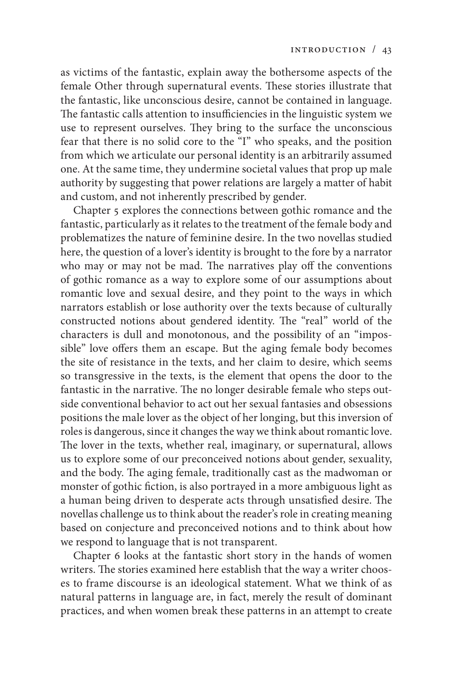as victims of the fantastic, explain away the bothersome aspects of the female Other through supernatural events. These stories illustrate that the fantastic, like unconscious desire, cannot be contained in language. The fantastic calls attention to insufficiencies in the linguistic system we use to represent ourselves. They bring to the surface the unconscious fear that there is no solid core to the "I" who speaks, and the position from which we articulate our personal identity is an arbitrarily assumed one. At the same time, they undermine societal values that prop up male authority by suggesting that power relations are largely a matter of habit and custom, and not inherently prescribed by gender.

Chapter 5 explores the connections between gothic romance and the fantastic, particularly as it relates to the treatment of the female body and problematizes the nature of feminine desire. In the two novellas studied here, the question of a lover's identity is brought to the fore by a narrator who may or may not be mad. The narratives play off the conventions of gothic romance as a way to explore some of our assumptions about romantic love and sexual desire, and they point to the ways in which narrators establish or lose authority over the texts because of culturally constructed notions about gendered identity. The "real" world of the characters is dull and monotonous, and the possibility of an "impossible" love offers them an escape. But the aging female body becomes the site of resistance in the texts, and her claim to desire, which seems so transgressive in the texts, is the element that opens the door to the fantastic in the narrative. The no longer desirable female who steps outside conventional behavior to act out her sexual fantasies and obsessions positions the male lover as the object of her longing, but this inversion of roles is dangerous, since it changes the way we think about romantic love. The lover in the texts, whether real, imaginary, or supernatural, allows us to explore some of our preconceived notions about gender, sexuality, and the body. The aging female, traditionally cast as the madwoman or monster of gothic fiction, is also portrayed in a more ambiguous light as a human being driven to desperate acts through unsatisfied desire. The novellas challenge us to think about the reader's role in creating meaning based on conjecture and preconceived notions and to think about how we respond to language that is not transparent.

Chapter 6 looks at the fantastic short story in the hands of women writers. The stories examined here establish that the way a writer chooses to frame discourse is an ideological statement. What we think of as natural patterns in language are, in fact, merely the result of dominant practices, and when women break these patterns in an attempt to create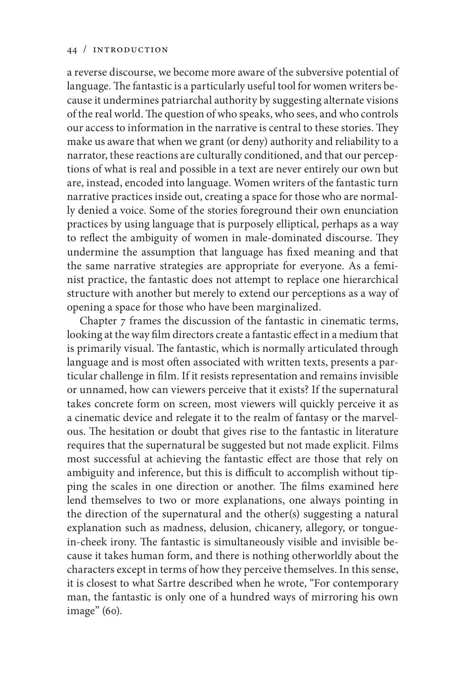a reverse discourse, we become more aware of the subversive potential of language. The fantastic is a particularly useful tool for women writers because it undermines patriarchal authority by suggesting alternate visions of the real world. The question of who speaks, who sees, and who controls our access to information in the narrative is central to these stories. They make us aware that when we grant (or deny) authority and reliability to a narrator, these reactions are culturally conditioned, and that our perceptions of what is real and possible in a text are never entirely our own but are, instead, encoded into language. Women writers of the fantastic turn narrative practices inside out, creating a space for those who are normally denied a voice. Some of the stories foreground their own enunciation practices by using language that is purposely elliptical, perhaps as a way to reflect the ambiguity of women in male-dominated discourse. They undermine the assumption that language has fixed meaning and that the same narrative strategies are appropriate for everyone. As a feminist practice, the fantastic does not attempt to replace one hierarchical structure with another but merely to extend our perceptions as a way of opening a space for those who have been marginalized.

Chapter 7 frames the discussion of the fantastic in cinematic terms, looking at the way film directors create a fantastic effect in a medium that is primarily visual. The fantastic, which is normally articulated through language and is most often associated with written texts, presents a particular challenge in film. If it resists representation and remains invisible or unnamed, how can viewers perceive that it exists? If the supernatural takes concrete form on screen, most viewers will quickly perceive it as a cinematic device and relegate it to the realm of fantasy or the marvelous. The hesitation or doubt that gives rise to the fantastic in literature requires that the supernatural be suggested but not made explicit. Films most successful at achieving the fantastic effect are those that rely on ambiguity and inference, but this is difficult to accomplish without tipping the scales in one direction or another. The films examined here lend themselves to two or more explanations, one always pointing in the direction of the supernatural and the other(s) suggesting a natural explanation such as madness, delusion, chicanery, allegory, or tonguein-cheek irony. The fantastic is simultaneously visible and invisible because it takes human form, and there is nothing otherworldly about the characters except in terms of how they perceive themselves. In this sense, it is closest to what Sartre described when he wrote, "For contemporary man, the fantastic is only one of a hundred ways of mirroring his own image" (60).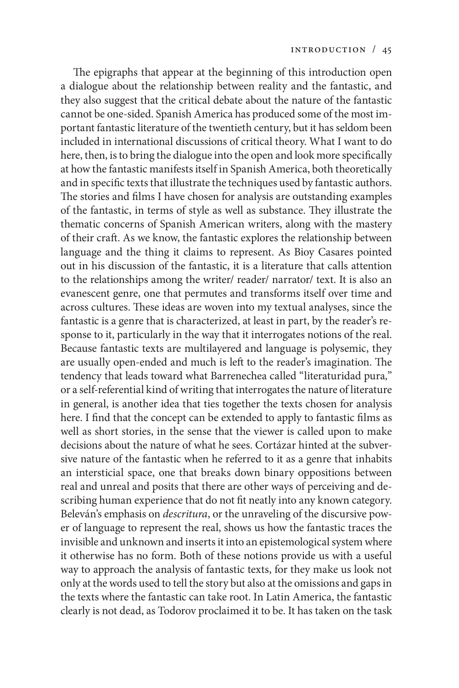The epigraphs that appear at the beginning of this introduction open a dialogue about the relationship between reality and the fantastic, and they also suggest that the critical debate about the nature of the fantastic cannot be one-sided. Spanish America has produced some of the most important fantastic literature of the twentieth century, but it has seldom been included in international discussions of critical theory. What I want to do here, then, is to bring the dialogue into the open and look more specifically at how the fantastic manifests itself in Spanish America, both theoretically and in specific texts that illustrate the techniques used by fantastic authors. The stories and films I have chosen for analysis are outstanding examples of the fantastic, in terms of style as well as substance. They illustrate the thematic concerns of Spanish American writers, along with the mastery of their craft. As we know, the fantastic explores the relationship between language and the thing it claims to represent. As Bioy Casares pointed out in his discussion of the fantastic, it is a literature that calls attention to the relationships among the writer/ reader/ narrator/ text. It is also an evanescent genre, one that permutes and transforms itself over time and across cultures. These ideas are woven into my textual analyses, since the fantastic is a genre that is characterized, at least in part, by the reader's response to it, particularly in the way that it interrogates notions of the real. Because fantastic texts are multilayered and language is polysemic, they are usually open-ended and much is left to the reader's imagination. The tendency that leads toward what Barrenechea called "literaturidad pura*,*" or a self-referential kind of writing that interrogates the nature of literature in general, is another idea that ties together the texts chosen for analysis here. I find that the concept can be extended to apply to fantastic films as well as short stories, in the sense that the viewer is called upon to make decisions about the nature of what he sees. Cortázar hinted at the subversive nature of the fantastic when he referred to it as a genre that inhabits an intersticial space, one that breaks down binary oppositions between real and unreal and posits that there are other ways of perceiving and describing human experience that do not fit neatly into any known category. Beleván's emphasis on *descritura*, or the unraveling of the discursive power of language to represent the real, shows us how the fantastic traces the invisible and unknown and inserts it into an epistemological system where it otherwise has no form. Both of these notions provide us with a useful way to approach the analysis of fantastic texts, for they make us look not only at the words used to tell the story but also at the omissions and gaps in the texts where the fantastic can take root. In Latin America, the fantastic clearly is not dead, as Todorov proclaimed it to be. It has taken on the task